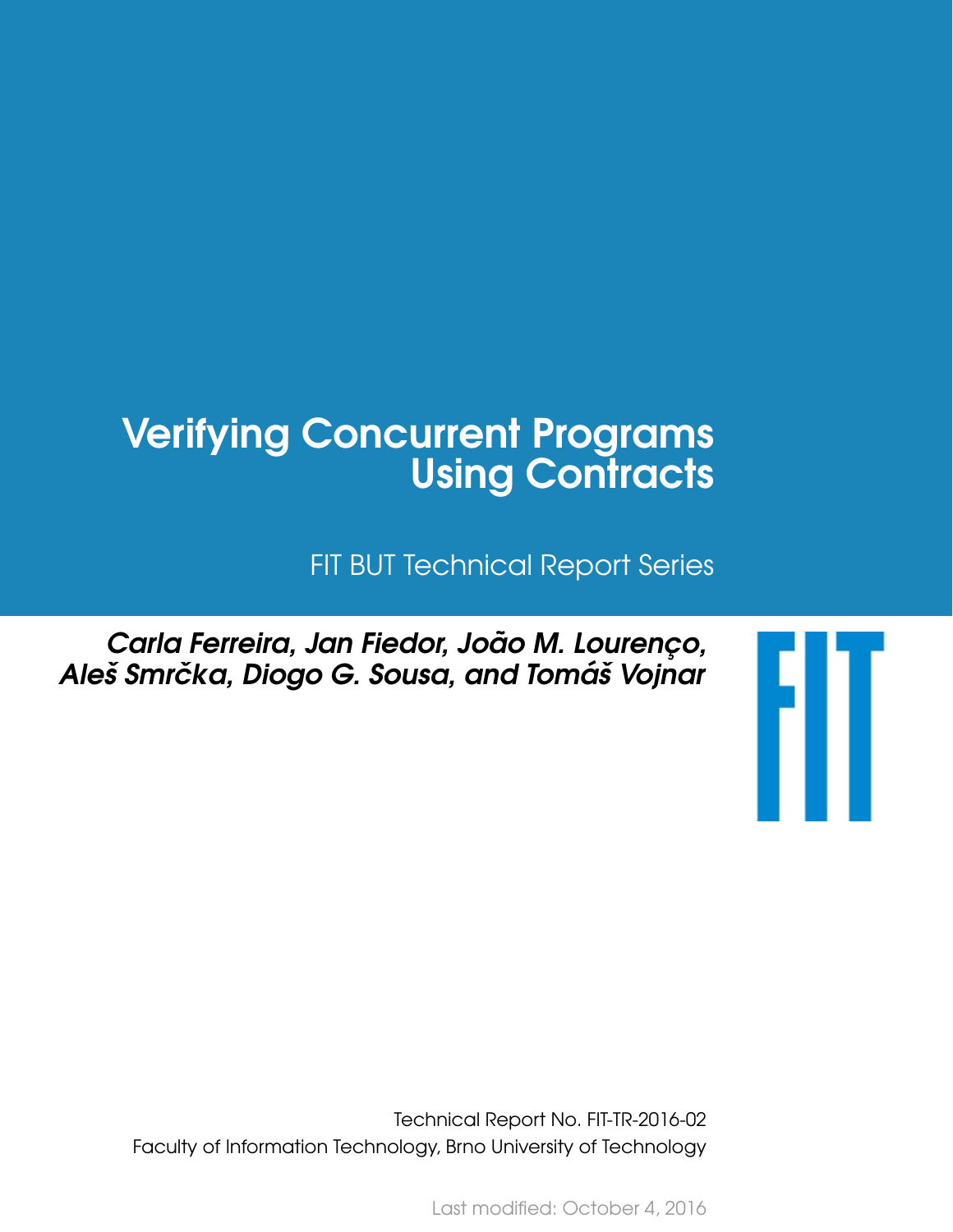# Verifying Concurrent Programs **Using Contracts**

FIT BUT Technical Report Series

H

Carla Ferreira, Jan Fiedor, João M. Lourenço, Aleš Smrčka, Diogo G. Sousa, and Tomáš Vojnar

> Technical Report No. FIT-TR-2016-02 Faculty of Information Technology, Brno University of Technology

> > Last modified: October 4, 2016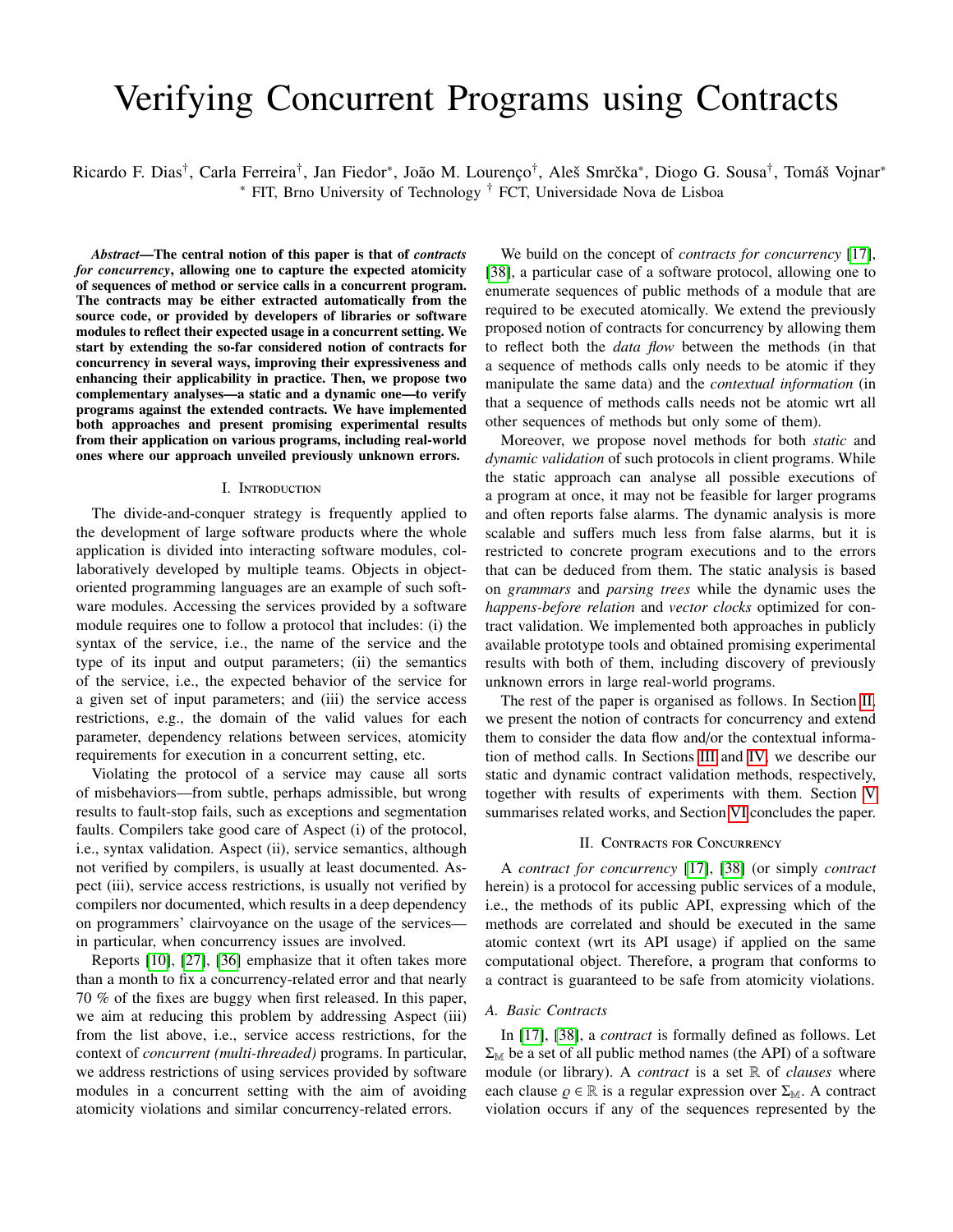# Verifying Concurrent Programs using Contracts

Ricardo F. Dias<sup>†</sup>, Carla Ferreira<sup>†</sup>, Jan Fiedor\*, João M. Lourenço<sup>†</sup>, Aleš Smrčka\*, Diogo G. Sousa<sup>†</sup>, Tomáš Vojnar\* <sup>∗</sup> FIT, Brno University of Technology † FCT, Universidade Nova de Lisboa

*Abstract*—The central notion of this paper is that of *contracts for concurrency*, allowing one to capture the expected atomicity of sequences of method or service calls in a concurrent program. The contracts may be either extracted automatically from the source code, or provided by developers of libraries or software modules to reflect their expected usage in a concurrent setting. We start by extending the so-far considered notion of contracts for concurrency in several ways, improving their expressiveness and enhancing their applicability in practice. Then, we propose two complementary analyses—a static and a dynamic one—to verify programs against the extended contracts. We have implemented both approaches and present promising experimental results from their application on various programs, including real-world ones where our approach unveiled previously unknown errors.

#### I. Introduction

The divide-and-conquer strategy is frequently applied to the development of large software products where the whole application is divided into interacting software modules, collaboratively developed by multiple teams. Objects in objectoriented programming languages are an example of such software modules. Accessing the services provided by a software module requires one to follow a protocol that includes: (i) the syntax of the service, i.e., the name of the service and the type of its input and output parameters; (ii) the semantics of the service, i.e., the expected behavior of the service for a given set of input parameters; and (iii) the service access restrictions, e.g., the domain of the valid values for each parameter, dependency relations between services, atomicity requirements for execution in a concurrent setting, etc.

Violating the protocol of a service may cause all sorts of misbehaviors—from subtle, perhaps admissible, but wrong results to fault-stop fails, such as exceptions and segmentation faults. Compilers take good care of Aspect (i) of the protocol, i.e., syntax validation. Aspect (ii), service semantics, although not verified by compilers, is usually at least documented. Aspect (iii), service access restrictions, is usually not verified by compilers nor documented, which results in a deep dependency on programmers' clairvoyance on the usage of the services in particular, when concurrency issues are involved.

Reports [\[10\]](#page-13-0), [\[27\]](#page-14-0), [\[36\]](#page-14-1) emphasize that it often takes more than a month to fix a concurrency-related error and that nearly 70 % of the fixes are buggy when first released. In this paper, we aim at reducing this problem by addressing Aspect (iii) from the list above, i.e., service access restrictions, for the context of *concurrent (multi-threaded)* programs. In particular, we address restrictions of using services provided by software modules in a concurrent setting with the aim of avoiding atomicity violations and similar concurrency-related errors.

We build on the concept of *contracts for concurrency* [\[17\]](#page-13-1), [\[38\]](#page-14-2), a particular case of a software protocol, allowing one to enumerate sequences of public methods of a module that are required to be executed atomically. We extend the previously proposed notion of contracts for concurrency by allowing them to reflect both the *data flow* between the methods (in that a sequence of methods calls only needs to be atomic if they manipulate the same data) and the *contextual information* (in that a sequence of methods calls needs not be atomic wrt all other sequences of methods but only some of them).

Moreover, we propose novel methods for both *static* and *dynamic validation* of such protocols in client programs. While the static approach can analyse all possible executions of a program at once, it may not be feasible for larger programs and often reports false alarms. The dynamic analysis is more scalable and suffers much less from false alarms, but it is restricted to concrete program executions and to the errors that can be deduced from them. The static analysis is based on *grammars* and *parsing trees* while the dynamic uses the *happens-before relation* and *vector clocks* optimized for contract validation. We implemented both approaches in publicly available prototype tools and obtained promising experimental results with both of them, including discovery of previously unknown errors in large real-world programs.

The rest of the paper is organised as follows. In Section [II,](#page-2-0) we present the notion of contracts for concurrency and extend them to consider the data flow and/or the contextual information of method calls. In Sections [III](#page-4-0) and [IV,](#page-7-0) we describe our static and dynamic contract validation methods, respectively, together with results of experiments with them. Section [V](#page-12-0) summarises related works, and Section [VI](#page-13-2) concludes the paper.

#### II. CONTRACTS FOR CONCURRENCY

<span id="page-2-0"></span>A *contract for concurrency* [\[17\]](#page-13-1), [\[38\]](#page-14-2) (or simply *contract* herein) is a protocol for accessing public services of a module, i.e., the methods of its public API, expressing which of the methods are correlated and should be executed in the same atomic context (wrt its API usage) if applied on the same computational object. Therefore, a program that conforms to a contract is guaranteed to be safe from atomicity violations.

# <span id="page-2-1"></span>*A. Basic Contracts*

In [\[17\]](#page-13-1), [\[38\]](#page-14-2), a *contract* is formally defined as follows. Let  $\Sigma_M$  be a set of all public method names (the API) of a software module (or library). A *contract* is a set R of *clauses* where each clause  $\rho \in \mathbb{R}$  is a regular expression over  $\Sigma_M$ . A contract violation occurs if any of the sequences represented by the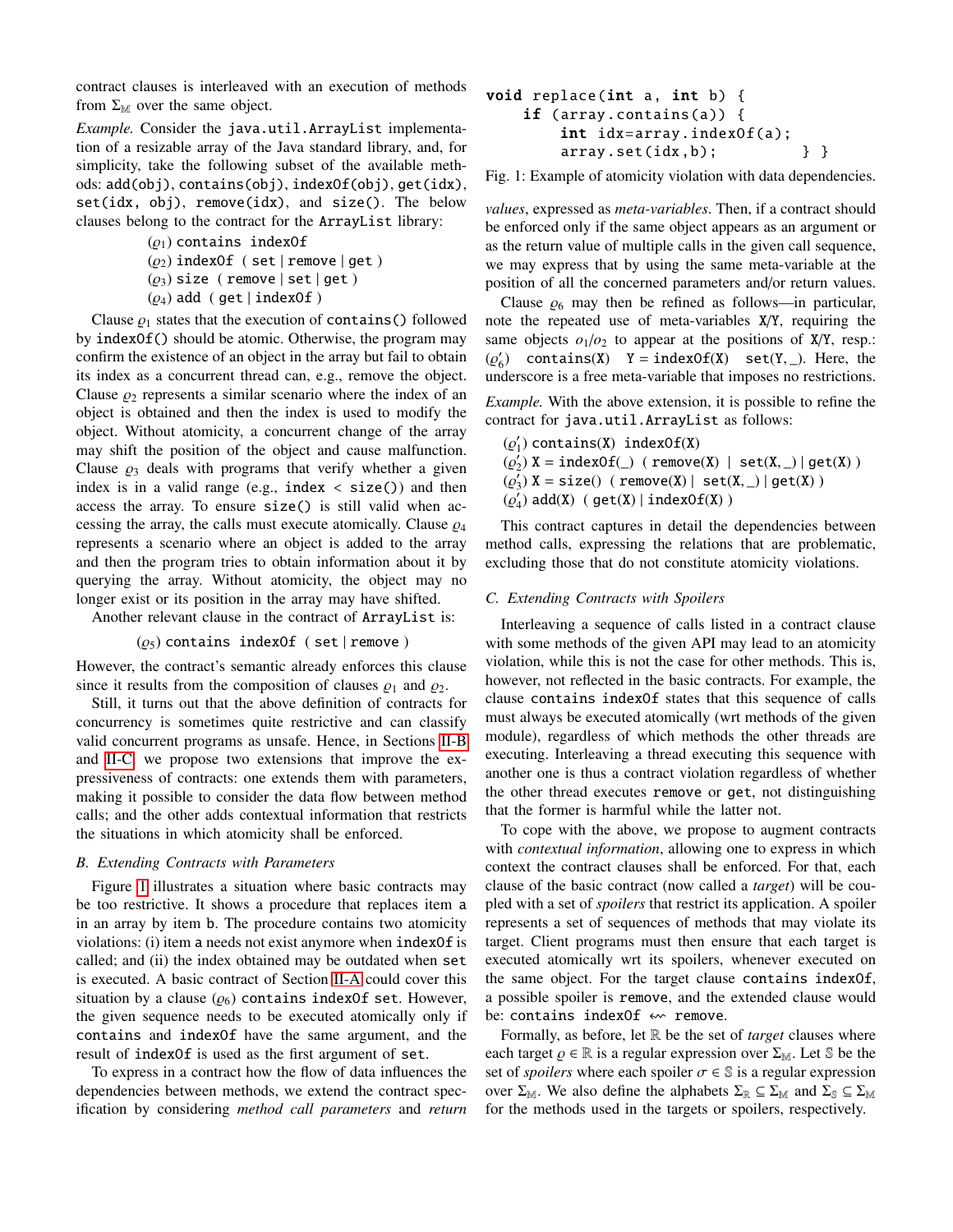contract clauses is interleaved with an execution of methods from  $\Sigma_M$  over the same object.

*Example.* Consider the java.util.ArrayList implementation of a resizable array of the Java standard library, and, for simplicity, take the following subset of the available methods: add(obj), contains(obj), indexOf(obj), get(idx), set(idx, obj), remove(idx), and size(). The below clauses belong to the contract for the ArrayList library:

- $(\rho_1)$  contains indexOf
- $(\rho_2)$  indexOf (set | remove | get)
- $(Q_3)$  size (remove | set | get)
- $(\varrho_4)$  add (get | indexOf)

Clause  $\rho_1$  states that the execution of contains () followed by indexOf() should be atomic. Otherwise, the program may confirm the existence of an object in the array but fail to obtain its index as a concurrent thread can, e.g., remove the object. Clause  $\varrho_2$  represents a similar scenario where the index of an object is obtained and then the index is used to modify the object. Without atomicity, a concurrent change of the array may shift the position of the object and cause malfunction. Clause  $\varrho_3$  deals with programs that verify whether a given index is in a valid range (e.g., index  $\langle$  size()) and then access the array. To ensure size() is still valid when accessing the array, the calls must execute atomically. Clause  $\rho_4$ represents a scenario where an object is added to the array and then the program tries to obtain information about it by querying the array. Without atomicity, the object may no longer exist or its position in the array may have shifted.

Another relevant clause in the contract of ArrayList is:

# $(\rho_5)$  contains indexOf (set | remove)

However, the contract's semantic already enforces this clause since it results from the composition of clauses  $\varrho_1$  and  $\varrho_2$ .

Still, it turns out that the above definition of contracts for concurrency is sometimes quite restrictive and can classify valid concurrent programs as unsafe. Hence, in Sections [II-B](#page-3-0) and [II-C,](#page-3-1) we propose two extensions that improve the expressiveness of contracts: one extends them with parameters, making it possible to consider the data flow between method calls; and the other adds contextual information that restricts the situations in which atomicity shall be enforced.

# <span id="page-3-0"></span>*B. Extending Contracts with Parameters*

Figure [1](#page-3-2) illustrates a situation where basic contracts may be too restrictive. It shows a procedure that replaces item a in an array by item b. The procedure contains two atomicity violations: (i) item a needs not exist anymore when indexOf is called; and (ii) the index obtained may be outdated when set is executed. A basic contract of Section [II-A](#page-2-1) could cover this situation by a clause  $(\varrho_6)$  contains indexOf set. However, the given sequence needs to be executed atomically only if contains and indexOf have the same argument, and the result of indexOf is used as the first argument of set.

To express in a contract how the flow of data influences the dependencies between methods, we extend the contract specification by considering *method call parameters* and *return*

# <span id="page-3-2"></span>void replace(int a, int b) { if (array.contains(a)) { int idx=array.indexOf(a);  $array.set(idx, b);$  } }

Fig. 1: Example of atomicity violation with data dependencies.

*values*, expressed as *meta-variables*. Then, if a contract should be enforced only if the same object appears as an argument or as the return value of multiple calls in the given call sequence, we may express that by using the same meta-variable at the position of all the concerned parameters and/or return values.

Clause  $\rho_6$  may then be refined as follows—in particular, note the repeated use of meta-variables X/Y, requiring the same objects  $o_1/o_2$  to appear at the positions of  $X/Y$ , resp.:  $(\varrho_6')$  contains(X) Y = indexOf(X) set(Y, \_). Here, the underscore is a free meta-variable that imposes no restrictions.

*Example.* With the above extension, it is possible to refine the contract for java.util.ArrayList as follows:

 $(\varrho_1')$  contains(X) indexOf(X)  $(\varrho'_2)$  X = indexOf(\_) ( remove(X) | set(X,\_) | get(X) )  $(Q_3)$  X = size() ( remove(X) | set(X, \_) | get(X) )  $(\varrho_4')$  add(X) (get(X) | indexOf(X))

This contract captures in detail the dependencies between method calls, expressing the relations that are problematic, excluding those that do not constitute atomicity violations.

#### <span id="page-3-1"></span>*C. Extending Contracts with Spoilers*

Interleaving a sequence of calls listed in a contract clause with some methods of the given API may lead to an atomicity violation, while this is not the case for other methods. This is, however, not reflected in the basic contracts. For example, the clause contains indexOf states that this sequence of calls must always be executed atomically (wrt methods of the given module), regardless of which methods the other threads are executing. Interleaving a thread executing this sequence with another one is thus a contract violation regardless of whether the other thread executes remove or get, not distinguishing that the former is harmful while the latter not.

To cope with the above, we propose to augment contracts with *contextual information*, allowing one to express in which context the contract clauses shall be enforced. For that, each clause of the basic contract (now called a *target*) will be coupled with a set of *spoilers* that restrict its application. A spoiler represents a set of sequences of methods that may violate its target. Client programs must then ensure that each target is executed atomically wrt its spoilers, whenever executed on the same object. For the target clause contains indexOf, a possible spoiler is remove, and the extended clause would be: contains index Of  $\leftarrow$  remove.

Formally, as before, let R be the set of *target* clauses where each target  $\rho \in \mathbb{R}$  is a regular expression over  $\Sigma_M$ . Let  $\mathbb S$  be the set of *spoilers* where each spoiler  $\sigma \in \mathbb{S}$  is a regular expression over  $\Sigma_M$ . We also define the alphabets  $\Sigma_R \subseteq \Sigma_M$  and  $\Sigma_S \subseteq \Sigma_M$ for the methods used in the targets or spoilers, respectively.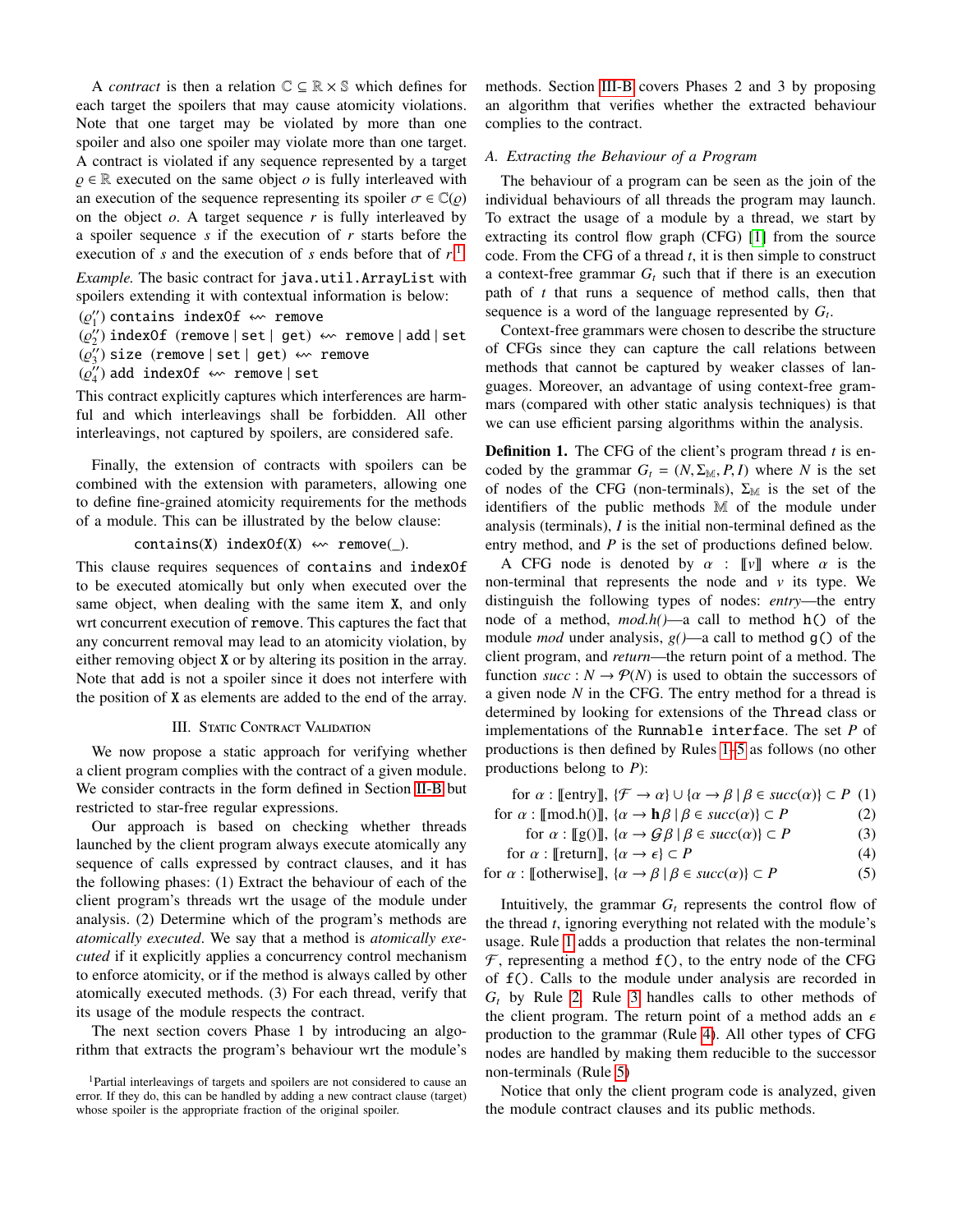A *contract* is then a relation  $\mathbb{C} \subseteq \mathbb{R} \times \mathbb{S}$  which defines for each target the spoilers that may cause atomicity violations. Note that one target may be violated by more than one spoiler and also one spoiler may violate more than one target. A contract is violated if any sequence represented by a target  $\rho \in \mathbb{R}$  executed on the same object  $\rho$  is fully interleaved with an execution of the sequence representing its spoiler  $\sigma \in \mathbb{C}(\rho)$ on the object *o*. A target sequence *r* is fully interleaved by a spoiler sequence *s* if the execution of *r* starts before the execution of *s* and the execution of *s* ends before that of *r*. [1](#page-4-1)

*Example.* The basic contract for java.util.ArrayList with spoilers extending it with contextual information is below:

```
(\varrho_{1}'') contains indexOf \leftrightsquigarrow remove
```

```
(\varrho_{2}^{\prime\prime})indexOf (remove|set|get) \leftrightsquigarrow remove|add|set
```
 $(\varrho_{3}^{''})$  size (remove|set|get) « remove

```
(\varrho_4'') add indexOf \leftrightsquigarrow remove | set
```
This contract explicitly captures which interferences are harmful and which interleavings shall be forbidden. All other interleavings, not captured by spoilers, are considered safe.

Finally, the extension of contracts with spoilers can be combined with the extension with parameters, allowing one to define fine-grained atomicity requirements for the methods of a module. This can be illustrated by the below clause:

contains(X) indexOf(X)  $\leftrightarrow$  remove(\_).

This clause requires sequences of contains and indexOf to be executed atomically but only when executed over the same object, when dealing with the same item X, and only wrt concurrent execution of remove. This captures the fact that any concurrent removal may lead to an atomicity violation, by either removing object X or by altering its position in the array. Note that add is not a spoiler since it does not interfere with the position of X as elements are added to the end of the array.

# III. STATIC CONTRACT VALIDATION

<span id="page-4-0"></span>We now propose a static approach for verifying whether a client program complies with the contract of a given module. We consider contracts in the form defined in Section [II-B](#page-3-0) but restricted to star-free regular expressions.

Our approach is based on checking whether threads launched by the client program always execute atomically any sequence of calls expressed by contract clauses, and it has the following phases: (1) Extract the behaviour of each of the client program's threads wrt the usage of the module under analysis. (2) Determine which of the program's methods are *atomically executed*. We say that a method is *atomically executed* if it explicitly applies a concurrency control mechanism to enforce atomicity, or if the method is always called by other atomically executed methods. (3) For each thread, verify that its usage of the module respects the contract.

The next section covers Phase 1 by introducing an algorithm that extracts the program's behaviour wrt the module's

<span id="page-4-1"></span><sup>1</sup>Partial interleavings of targets and spoilers are not considered to cause an error. If they do, this can be handled by adding a new contract clause (target) whose spoiler is the appropriate fraction of the original spoiler.

methods. Section [III-B](#page-5-0) covers Phases 2 and 3 by proposing an algorithm that verifies whether the extracted behaviour complies to the contract.

# *A. Extracting the Behaviour of a Program*

The behaviour of a program can be seen as the join of the individual behaviours of all threads the program may launch. To extract the usage of a module by a thread, we start by extracting its control flow graph (CFG) [\[1\]](#page-13-3) from the source code. From the CFG of a thread *t*, it is then simple to construct a context-free grammar  $G_t$  such that if there is an execution path of *t* that runs a sequence of method calls, then that sequence is a word of the language represented by *G<sup>t</sup>* .

Context-free grammars were chosen to describe the structure of CFGs since they can capture the call relations between methods that cannot be captured by weaker classes of languages. Moreover, an advantage of using context-free grammars (compared with other static analysis techniques) is that we can use efficient parsing algorithms within the analysis.

<span id="page-4-7"></span>Definition 1. The CFG of the client's program thread *t* is encoded by the grammar  $G_t = (N, \Sigma_M, P, I)$  where *N* is the set of nodes of the CFG (non-terminals),  $\Sigma_M$  is the set of the identifiers of the public methods M of the module under analysis (terminals), *I* is the initial non-terminal defined as the entry method, and *P* is the set of productions defined below.

A CFG node is denoted by  $\alpha$  :  $\llbracket v \rrbracket$  where  $\alpha$  is the non-terminal that represents the node and *v* its type. We distinguish the following types of nodes: *entry*—the entry node of a method, *mod.h()*—a call to method h() of the module *mod* under analysis, *g()*—a call to method g() of the client program, and *return*—the return point of a method. The function  $succ: N \rightarrow \mathcal{P}(N)$  is used to obtain the successors of a given node *N* in the CFG. The entry method for a thread is determined by looking for extensions of the Thread class or implementations of the Runnable interface. The set *P* of productions is then defined by Rules [1–](#page-4-2)[5](#page-4-3) as follows (no other productions belong to *P*):

for  $\alpha$  : [[entry]],  $\{\mathcal{F} \to \alpha\} \cup \{\alpha \to \beta \mid \beta \in succ(\alpha)\} \subset P$  (1)

for  $\alpha$  :  $[\text{mod.h()}], {\{\alpha \rightarrow h\beta \mid \beta \in succ(\alpha)\}} \subset P$  (2)

<span id="page-4-6"></span><span id="page-4-5"></span><span id="page-4-4"></span><span id="page-4-3"></span><span id="page-4-2"></span>for  $\alpha : [[g()]], \{ \alpha \to \mathcal{G}\beta \mid \beta \in succ(\alpha) \} \subset P$  (3) for  $\alpha$  · [[return]]  $\alpha \rightarrow \alpha$  ⊂ *P* (4)

$$
\text{for } a \text{. [return]}, \{a \rightarrow \epsilon\} \subset I
$$

for 
$$
\alpha
$$
: [otherwise],  $\{\alpha \to \beta \mid \beta \in succ(\alpha)\} \subset P$  (5)

Intuitively, the grammar  $G_t$  represents the control flow of the thread *t*, ignoring everything not related with the module's usage. Rule [1](#page-4-2) adds a production that relates the non-terminal  $\mathcal F$ , representing a method  $f()$ , to the entry node of the CFG of f(). Calls to the module under analysis are recorded in *G<sup>t</sup>* by Rule [2.](#page-4-4) Rule [3](#page-4-5) handles calls to other methods of the client program. The return point of a method adds an  $\epsilon$ production to the grammar (Rule [4\)](#page-4-6). All other types of CFG nodes are handled by making them reducible to the successor non-terminals (Rule [5\)](#page-4-3)

Notice that only the client program code is analyzed, given the module contract clauses and its public methods.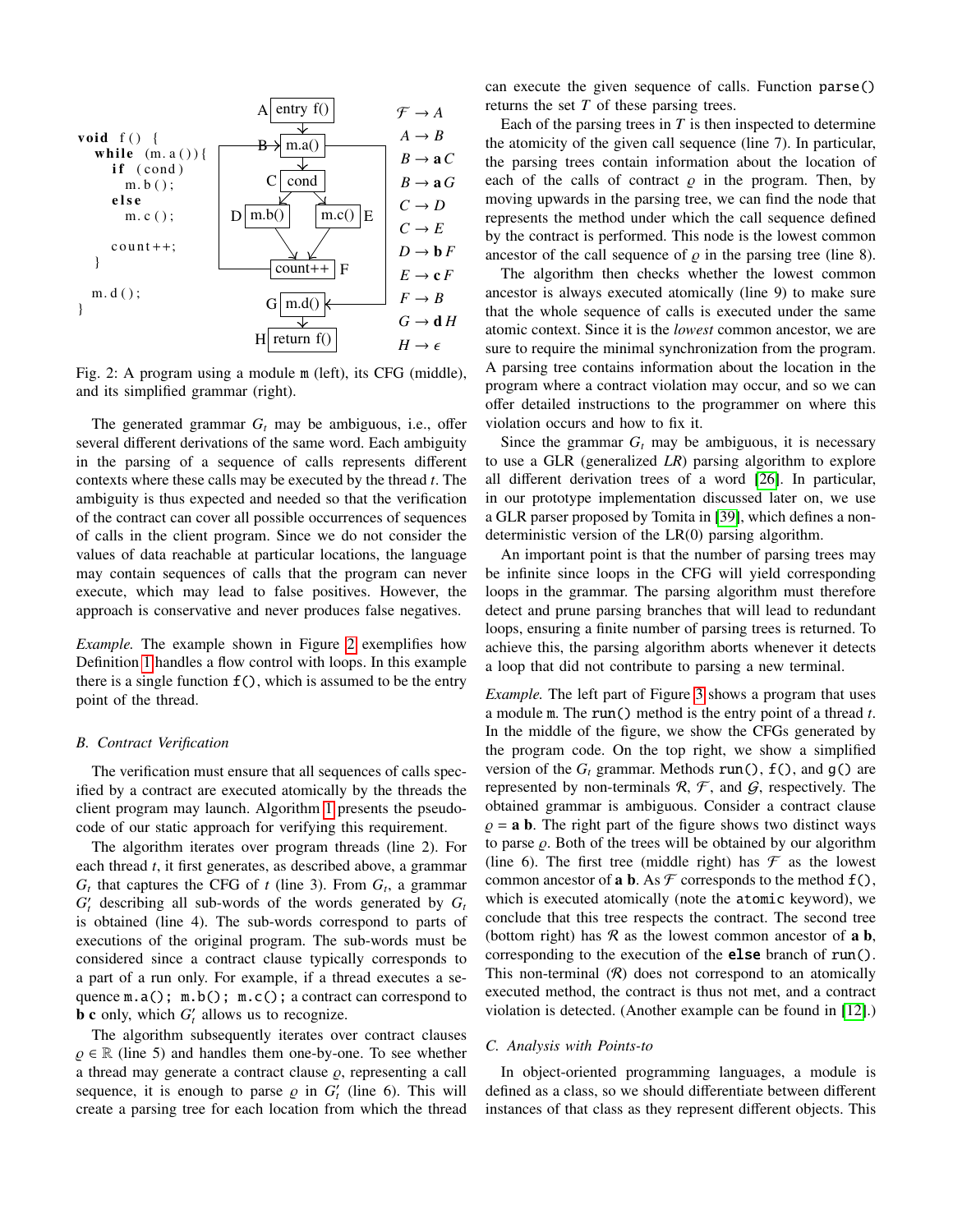<span id="page-5-1"></span>

Fig. 2: A program using a module m (left), its CFG (middle), and its simplified grammar (right).

The generated grammar  $G_t$  may be ambiguous, i.e., offer several different derivations of the same word. Each ambiguity in the parsing of a sequence of calls represents different contexts where these calls may be executed by the thread *t*. The ambiguity is thus expected and needed so that the verification of the contract can cover all possible occurrences of sequences of calls in the client program. Since we do not consider the values of data reachable at particular locations, the language may contain sequences of calls that the program can never execute, which may lead to false positives. However, the approach is conservative and never produces false negatives.

*Example.* The example shown in Figure [2](#page-5-1) exemplifies how Definition [1](#page-4-7) handles a flow control with loops. In this example there is a single function  $f()$ , which is assumed to be the entry point of the thread.

## <span id="page-5-0"></span>*B. Contract Verification*

The verification must ensure that all sequences of calls specified by a contract are executed atomically by the threads the client program may launch. Algorithm [1](#page-6-0) presents the pseudocode of our static approach for verifying this requirement.

The algorithm iterates over program threads (line 2). For each thread *t*, it first generates, as described above, a grammar  $G_t$  that captures the CFG of *t* (line 3). From  $G_t$ , a grammar  $G'$ <sup>*t*</sup> describing all sub-words of the words generated by  $G_t$ is obtained (line 4). The sub-words correspond to parts of executions of the original program. The sub-words must be considered since a contract clause typically corresponds to a part of a run only. For example, if a thread executes a sequence m.a(); m.b(); m.c(); a contract can correspond to **b** c only, which  $G'$  allows us to recognize.

The algorithm subsequently iterates over contract clauses  $\rho \in \mathbb{R}$  (line 5) and handles them one-by-one. To see whether a thread may generate a contract clause  $\rho$ , representing a call sequence, it is enough to parse  $\rho$  in  $G'$  (line 6). This will create a parsing tree for each location from which the thread can execute the given sequence of calls. Function parse() returns the set *T* of these parsing trees.

Each of the parsing trees in  $T$  is then inspected to determine the atomicity of the given call sequence (line 7). In particular, the parsing trees contain information about the location of each of the calls of contract  $\rho$  in the program. Then, by moving upwards in the parsing tree, we can find the node that represents the method under which the call sequence defined by the contract is performed. This node is the lowest common ancestor of the call sequence of  $\rho$  in the parsing tree (line 8).

The algorithm then checks whether the lowest common ancestor is always executed atomically (line 9) to make sure that the whole sequence of calls is executed under the same atomic context. Since it is the *lowest* common ancestor, we are sure to require the minimal synchronization from the program. A parsing tree contains information about the location in the program where a contract violation may occur, and so we can offer detailed instructions to the programmer on where this violation occurs and how to fix it.

Since the grammar  $G_t$  may be ambiguous, it is necessary to use a GLR (generalized *LR*) parsing algorithm to explore all different derivation trees of a word [\[26\]](#page-14-3). In particular, in our prototype implementation discussed later on, we use a GLR parser proposed by Tomita in [\[39\]](#page-14-4), which defines a nondeterministic version of the LR(0) parsing algorithm.

An important point is that the number of parsing trees may be infinite since loops in the CFG will yield corresponding loops in the grammar. The parsing algorithm must therefore detect and prune parsing branches that will lead to redundant loops, ensuring a finite number of parsing trees is returned. To achieve this, the parsing algorithm aborts whenever it detects a loop that did not contribute to parsing a new terminal.

*Example.* The left part of Figure [3](#page-6-1) shows a program that uses a module m. The run() method is the entry point of a thread *t*. In the middle of the figure, we show the CFGs generated by the program code. On the top right, we show a simplified version of the  $G_t$  grammar. Methods  $run()$ ,  $f()$ , and  $g()$  are represented by non-terminals  $\mathcal{R}, \mathcal{F}$ , and  $\mathcal{G}$ , respectively. The obtained grammar is ambiguous. Consider a contract clause  $\rho = a b$ . The right part of the figure shows two distinct ways to parse  $\rho$ . Both of the trees will be obtained by our algorithm (line 6). The first tree (middle right) has  $\mathcal F$  as the lowest common ancestor of **a b**. As  $\mathcal{F}$  corresponds to the method  $f(.)$ , which is executed atomically (note the atomic keyword), we conclude that this tree respects the contract. The second tree (bottom right) has  $\mathcal R$  as the lowest common ancestor of **a** b, corresponding to the execution of the **else** branch of run(). This non-terminal  $(R)$  does not correspond to an atomically executed method, the contract is thus not met, and a contract violation is detected. (Another example can be found in [\[12\]](#page-13-4).)

#### *C. Analysis with Points-to*

In object-oriented programming languages, a module is defined as a class, so we should differentiate between different instances of that class as they represent different objects. This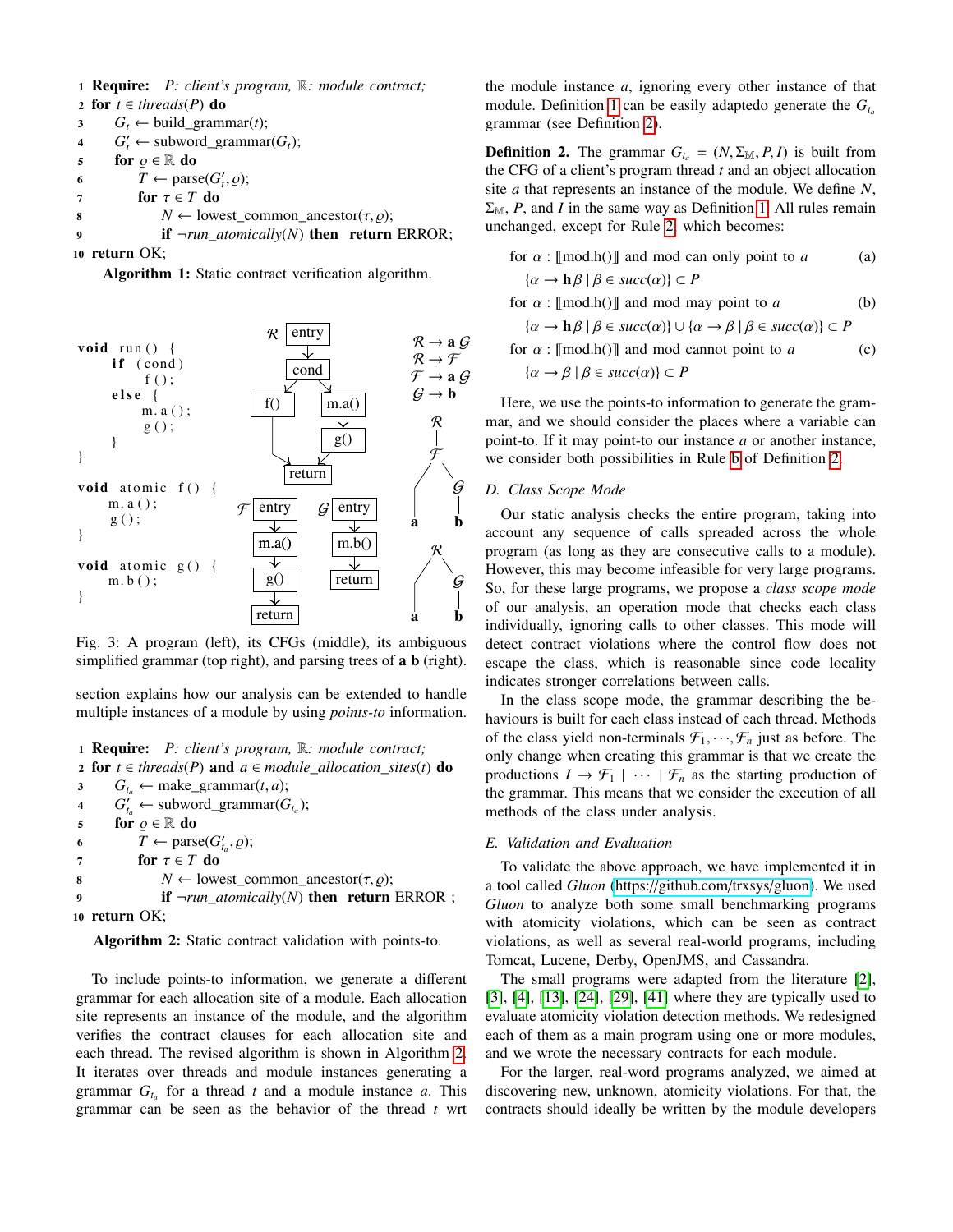<sup>1</sup> Require: *P: client's program,* R*: module contract;* 2 for  $t \in \text{threads}(P)$  do

 $G_t \leftarrow \text{build\_grammar}(t);$  $G'_{t} \leftarrow \text{subword\_grammar}(G_{t});$ 5 for  $\rho \in \mathbb{R}$  do  $T \leftarrow \text{parse}(G'_t, \varrho);$ **for**  $\tau \in T$  do  $N \leftarrow$  lowest common ancestor( $\tau, \rho$ ); **if**  $\neg run\_atomically(N)$  **then return** ERROR;

<sup>10</sup> return OK;

<span id="page-6-0"></span>Algorithm 1: Static contract verification algorithm.

<span id="page-6-1"></span>

Fig. 3: A program (left), its CFGs (middle), its ambiguous simplified grammar (top right), and parsing trees of a b (right).

section explains how our analysis can be extended to handle multiple instances of a module by using *points-to* information.

 Require: *P: client's program,* R*: module contract;* 2 for  $t \in \text{threads}(P)$  and  $a \in \text{module\_allocation\_sites}(t)$  do  $G_{t_a} \leftarrow \text{make\_grammar}(t, a);$  $G'_{t_a} \leftarrow \text{subword\_grammar}(G_{t_a});$ 5 for  $\rho \in \mathbb{R}$  do  $T \leftarrow \text{parse}(G'_{t_a}, \varrho);$ 

7 for  $\tau \in T$  do

```
8 N \leftarrow lowest_common_ancestor(\tau, \varrho);
```
<sup>9</sup> if ¬*run\_atomically*(*N*) then return ERROR ; <sup>10</sup> return OK;

<span id="page-6-2"></span>Algorithm 2: Static contract validation with points-to.

To include points-to information, we generate a different grammar for each allocation site of a module. Each allocation site represents an instance of the module, and the algorithm verifies the contract clauses for each allocation site and each thread. The revised algorithm is shown in Algorithm [2.](#page-6-2) It iterates over threads and module instances generating a grammar  $G_{t_a}$  for a thread  $t$  and a module instance  $a$ . This grammar can be seen as the behavior of the thread *t* wrt

the module instance *a*, ignoring every other instance of that module. Definition [1](#page-4-7) can be easily adaptedo generate the  $G_t$ grammar (see Definition [2\)](#page-6-3).

<span id="page-6-3"></span>**Definition 2.** The grammar  $G_{t_a} = (N, \Sigma_M, P, I)$  is built from the CFG of a client's program thread *t* and an object allocation site *a* that represents an instance of the module. We define *N*,  $\Sigma_{\mathbb{M}}$ , *P*, and *I* in the same way as Definition [1.](#page-4-7) All rules remain unchanged, except for Rule [2,](#page-4-4) which becomes:

for 
$$
\alpha : [\text{mod.h}()]
$$
 and mod can only point to  $a$  (a)

 $\{\alpha \rightarrow \mathbf{h}\beta \mid \beta \in succ(\alpha)\}\subset P$ 

for 
$$
\alpha : [\text{mod.h}()]
$$
 and mod may point to  $a$  (b)

$$
\{\alpha \to \mathbf{h}\beta \mid \beta \in succ(\alpha)\} \cup \{\alpha \to \beta \mid \beta \in succ(\alpha)\} \subset P
$$

for  $\alpha$  :  $[mod.h()]$  and mod cannot point to *a* (c)

 $\{\alpha \rightarrow \beta \mid \beta \in succ(\alpha)\}\subset P$ 

Here, we use the points-to information to generate the grammar, and we should consider the places where a variable can point-to. If it may point-to our instance *a* or another instance, we consider both possibilities in Rule [b](#page-4-4) of Definition [2.](#page-6-3)

## <span id="page-6-4"></span>*D. Class Scope Mode*

Our static analysis checks the entire program, taking into account any sequence of calls spreaded across the whole program (as long as they are consecutive calls to a module). However, this may become infeasible for very large programs. So, for these large programs, we propose a *class scope mode* of our analysis, an operation mode that checks each class individually, ignoring calls to other classes. This mode will detect contract violations where the control flow does not escape the class, which is reasonable since code locality indicates stronger correlations between calls.

In the class scope mode, the grammar describing the behaviours is built for each class instead of each thread. Methods of the class yield non-terminals  $\mathcal{F}_1, \dots, \mathcal{F}_n$  just as before. The only change when creating this grammar is that we create the productions  $I \to \mathcal{F}_1 \mid \cdots \mid \mathcal{F}_n$  as the starting production of the grammar. This means that we consider the execution of all methods of the class under analysis.

#### <span id="page-6-5"></span>*E. Validation and Evaluation*

To validate the above approach, we have implemented it in a tool called *Gluon* (https://[github.com](https://github.com/trxsys/gluon)/trxsys/gluon). We used *Gluon* to analyze both some small benchmarking programs with atomicity violations, which can be seen as contract violations, as well as several real-world programs, including Tomcat, Lucene, Derby, OpenJMS, and Cassandra.

The small programs were adapted from the literature [\[2\]](#page-13-5), [\[3\]](#page-13-6), [\[4\]](#page-13-7), [\[13\]](#page-13-8), [\[24\]](#page-14-5), [\[29\]](#page-14-6), [\[41\]](#page-14-7) where they are typically used to evaluate atomicity violation detection methods. We redesigned each of them as a main program using one or more modules, and we wrote the necessary contracts for each module.

For the larger, real-word programs analyzed, we aimed at discovering new, unknown, atomicity violations. For that, the contracts should ideally be written by the module developers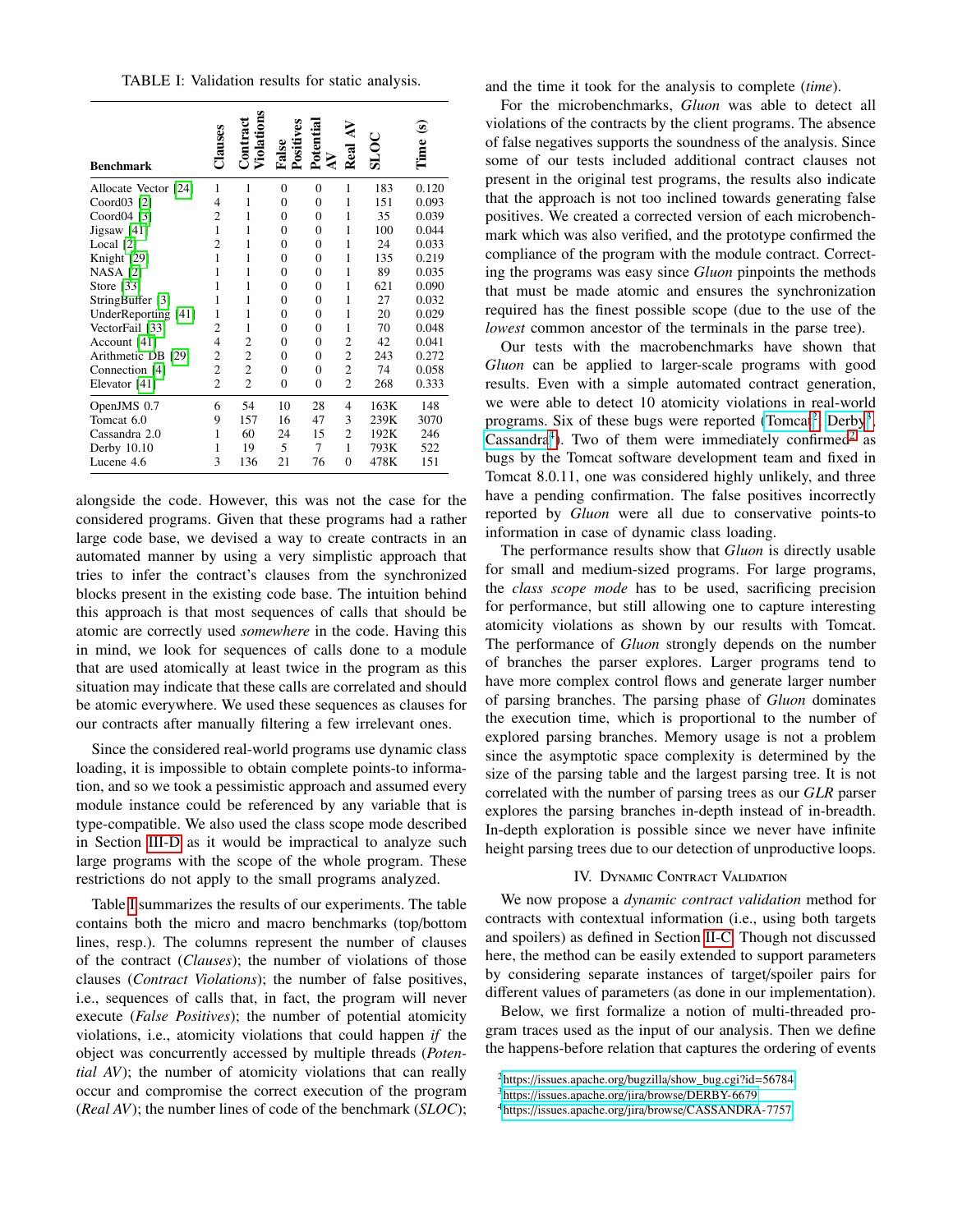TABLE I: Validation results for static analysis.

<span id="page-7-1"></span>

| <b>Benchmark</b>       | Clauses        | Violations<br>Contract | Positi<br>False | Potentia | Real           |      | ھ<br>Time |
|------------------------|----------------|------------------------|-----------------|----------|----------------|------|-----------|
| Allocate Vector [24]   | 1              | 1                      | $\theta$        | $\theta$ | 1              | 183  | 0.120     |
| Coord03 <sup>[2]</sup> | 4              | 1                      | $\theta$        | $\Omega$ | 1              | 151  | 0.093     |
| Coord04 <sup>[3]</sup> | 2              | 1                      | $\theta$        | $\theta$ | 1              | 35   | 0.039     |
| Jigsaw $[41]$          | 1              | 1                      | $\overline{0}$  | $\Omega$ | 1              | 100  | 0.044     |
| Local [2]              | 2              | 1                      | $\theta$        | $\Omega$ | 1              | 24   | 0.033     |
| Knight [29]            | 1              | 1                      | $\theta$        | $\theta$ | 1              | 135  | 0.219     |
| <b>NASA</b> [2]        | 1              | 1                      | $\theta$        | $\theta$ | 1              | 89   | 0.035     |
| Store $[33]$           | 1              | 1                      | $\theta$        | $\theta$ | 1              | 621  | 0.090     |
| StringBuffer [3]       | 1              | 1                      | $\theta$        | $\theta$ | 1              | 27   | 0.032     |
| UnderReporting [41]    | 1              | 1                      | $\theta$        | $\theta$ | 1              | 20   | 0.029     |
| VectorFail [33]        | 2              | 1                      | $\theta$        | 0        | 1              | 70   | 0.048     |
| Account [41]           | 4              | 2                      | $\theta$        | $\theta$ | $\overline{c}$ | 42   | 0.041     |
| Arithmetic DB [29]     | 2              | $\overline{2}$         | $\Omega$        | $\Omega$ | $\overline{c}$ | 243  | 0.272     |
| Connection [4]         | $\overline{c}$ | $\overline{2}$         | $\theta$        | $\Omega$ | $\overline{c}$ | 74   | 0.058     |
| Elevator [41]          | $\overline{c}$ | $\overline{c}$         | $\theta$        | $\theta$ | $\overline{c}$ | 268  | 0.333     |
| OpenJMS 0.7            | 6              | 54                     | 10              | 28       | 4              | 163K | 148       |
| Tomcat 6.0             | 9              | 157                    | 16              | 47       | 3              | 239K | 3070      |
| Cassandra 2.0          | 1              | 60                     | 24              | 15       | $\overline{c}$ | 192K | 246       |
| Derby 10.10            | 1              | 19                     | 5               | 7        | 1              | 793K | 522       |
| Lucene 4.6             | 3              | 136                    | 21              | 76       | $\theta$       | 478K | 151       |

alongside the code. However, this was not the case for the considered programs. Given that these programs had a rather large code base, we devised a way to create contracts in an automated manner by using a very simplistic approach that tries to infer the contract's clauses from the synchronized blocks present in the existing code base. The intuition behind this approach is that most sequences of calls that should be atomic are correctly used *somewhere* in the code. Having this in mind, we look for sequences of calls done to a module that are used atomically at least twice in the program as this situation may indicate that these calls are correlated and should be atomic everywhere. We used these sequences as clauses for our contracts after manually filtering a few irrelevant ones.

Since the considered real-world programs use dynamic class loading, it is impossible to obtain complete points-to information, and so we took a pessimistic approach and assumed every module instance could be referenced by any variable that is type-compatible. We also used the class scope mode described in Section [III-D](#page-6-4) as it would be impractical to analyze such large programs with the scope of the whole program. These restrictions do not apply to the small programs analyzed.

Table [I](#page-7-1) summarizes the results of our experiments. The table contains both the micro and macro benchmarks (top/bottom lines, resp.). The columns represent the number of clauses of the contract (*Clauses*); the number of violations of those clauses (*Contract Violations*); the number of false positives, i.e., sequences of calls that, in fact, the program will never execute (*False Positives*); the number of potential atomicity violations, i.e., atomicity violations that could happen *if* the object was concurrently accessed by multiple threads (*Potential AV*); the number of atomicity violations that can really occur and compromise the correct execution of the program (*Real AV*); the number lines of code of the benchmark (*SLOC*); and the time it took for the analysis to complete (*time*).

For the microbenchmarks, *Gluon* was able to detect all violations of the contracts by the client programs. The absence of false negatives supports the soundness of the analysis. Since some of our tests included additional contract clauses not present in the original test programs, the results also indicate that the approach is not too inclined towards generating false positives. We created a corrected version of each microbenchmark which was also verified, and the prototype confirmed the compliance of the program with the module contract. Correcting the programs was easy since *Gluon* pinpoints the methods that must be made atomic and ensures the synchronization required has the finest possible scope (due to the use of the *lowest* common ancestor of the terminals in the parse tree).

Our tests with the macrobenchmarks have shown that *Gluon* can be applied to larger-scale programs with good results. Even with a simple automated contract generation, we were able to detect 10 atomicity violations in real-world programs. Six of these bugs were reported [\(Tomcat](https://issues.apache.org/bugzilla/show_bug.cgi?id=56784)<sup>[2](#page-7-2)</sup>, [Derby](https://issues.apache.org/jira/browse/DERBY-6679)<sup>[3](#page-7-3)</sup>, [Cassandra](https://issues.apache.org/jira/browse/CASSANDRA-7757)<sup>[4](#page-7-4)</sup>). Two of them were immediately confirmed<sup>[2](#page-7-2)</sup> as bugs by the Tomcat software development team and fixed in Tomcat 8.0.11, one was considered highly unlikely, and three have a pending confirmation. The false positives incorrectly reported by *Gluon* were all due to conservative points-to information in case of dynamic class loading.

The performance results show that *Gluon* is directly usable for small and medium-sized programs. For large programs, the *class scope mode* has to be used, sacrificing precision for performance, but still allowing one to capture interesting atomicity violations as shown by our results with Tomcat. The performance of *Gluon* strongly depends on the number of branches the parser explores. Larger programs tend to have more complex control flows and generate larger number of parsing branches. The parsing phase of *Gluon* dominates the execution time, which is proportional to the number of explored parsing branches. Memory usage is not a problem since the asymptotic space complexity is determined by the size of the parsing table and the largest parsing tree. It is not correlated with the number of parsing trees as our *GLR* parser explores the parsing branches in-depth instead of in-breadth. In-depth exploration is possible since we never have infinite height parsing trees due to our detection of unproductive loops.

#### IV. Dynamic Contract Validation

<span id="page-7-0"></span>We now propose a *dynamic contract validation* method for contracts with contextual information (i.e., using both targets and spoilers) as defined in Section [II-C.](#page-3-1) Though not discussed here, the method can be easily extended to support parameters by considering separate instances of target/spoiler pairs for different values of parameters (as done in our implementation).

Below, we first formalize a notion of multi-threaded program traces used as the input of our analysis. Then we define the happens-before relation that captures the ordering of events

<span id="page-7-2"></span><sup>2</sup>https://[issues.apache.org](https://issues.apache.org/bugzilla/show_bug.cgi?id=56784)/bugzilla/show\_bug.cgi?id=56784

<span id="page-7-3"></span><sup>3</sup>https://[issues.apache.org](https://issues.apache.org/jira/browse/DERBY-6679)/jira/browse/DERBY-6679

<span id="page-7-4"></span><sup>4</sup>https://issues.apache.org/jira/browse/[CASSANDRA-7757](https://issues.apache.org/jira/browse/CASSANDRA-7757)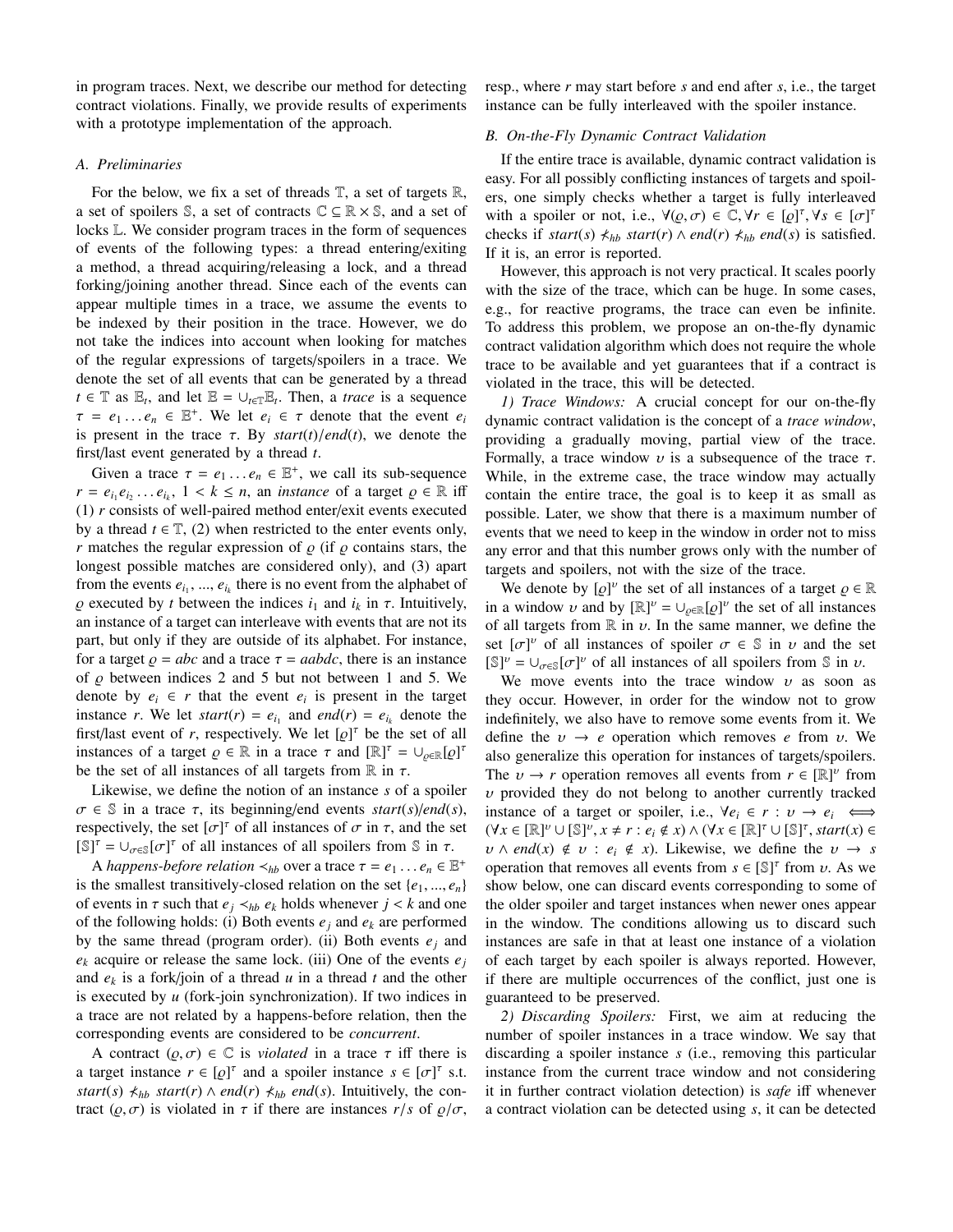in program traces. Next, we describe our method for detecting contract violations. Finally, we provide results of experiments with a prototype implementation of the approach.

# *A. Preliminaries*

For the below, we fix a set of threads  $\mathbb{T}$ , a set of targets  $\mathbb{R}$ , a set of spoilers  $\mathbb{S}$ , a set of contracts  $\mathbb{C} \subseteq \mathbb{R} \times \mathbb{S}$ , and a set of locks L. We consider program traces in the form of sequences of events of the following types: a thread entering/exiting a method, a thread acquiring/releasing a lock, and a thread forking/joining another thread. Since each of the events can appear multiple times in a trace, we assume the events to be indexed by their position in the trace. However, we do not take the indices into account when looking for matches of the regular expressions of targets/spoilers in a trace. We denote the set of all events that can be generated by a thread  $t \in \mathbb{T}$  as  $\mathbb{E}_t$ , and let  $\mathbb{E} = \bigcup_{t \in \mathbb{T}} \mathbb{E}_t$ . Then, a *trace* is a sequence  $\tau = e_1 \dots e_n \in \mathbb{E}^+$ . We let  $e_i \in \tau$  denote that the event  $e_i$ is present in the trace  $\tau$ . By  $start(t)/end(t)$ , we denote the first/last event generated by a thread *t*.

Given a trace  $\tau = e_1 \dots e_n \in \mathbb{E}^+$ , we call its sub-sequence  $r = e_{i_1} e_{i_2} \dots e_{i_k}, \ 1 < k \leq n$ , an *instance* of a target  $\varrho \in \mathbb{R}$  iff (1) *r* consists of well-paired method enter/exit events executed by a thread  $t \in \mathbb{T}$ , (2) when restricted to the enter events only, *r* matches the regular expression of  $\varrho$  (if  $\varrho$  contains stars, the longest possible matches are considered only), and (3) apart from the events  $e_{i_1}, ..., e_{i_k}$  there is no event from the alphabet of  $\rho$  executed by *t* between the indices  $i_1$  and  $i_k$  in  $\tau$ . Intuitively, an instance of a target can interleave with events that are not its part, but only if they are outside of its alphabet. For instance, for a target  $\rho = abc$  and a trace  $\tau = aabdc$ , there is an instance of  $\rho$  between indices 2 and 5 but not between 1 and 5. We denote by  $e_i \in r$  that the event  $e_i$  is present in the target instance *r*. We let *start*(*r*) =  $e_{i_1}$  and  $end(r) = e_{i_k}$  denote the first/last event of *r*, respectively. We let  $[\varrho]$ <sup> $\tau$ </sup> be the set of all instances of a target  $\varrho \in \mathbb{R}$  in a trace  $\tau$  and  $[\mathbb{R}]^{\tau} = \bigcup_{\varrho \in \mathbb{R}} [\varrho]^{\tau}$ be the set of all instances of all targets from  $\mathbb R$  in  $\tau$ .

Likewise, we define the notion of an instance *s* of a spoiler  $\sigma \in \mathbb{S}$  in a trace  $\tau$ , its beginning/end events *start*(*s*)/*end*(*s*), respectively, the set  $[\sigma]^{\tau}$  of all instances of  $\sigma$  in  $\tau$ , and the set  $[\mathbb{S}]^{\tau} = \bigcup_{\sigma \in \mathbb{S}} [\sigma]^{\tau}$  of all instances of all spoilers from  $\mathbb{S}$  in  $\tau$ .

A *happens-before relation*  $\lt_{hb}$  over a trace  $\tau = e_1 \dots e_n \in \mathbb{E}^+$ is the smallest transitively-closed relation on the set  $\{e_1, ..., e_n\}$ of events in  $\tau$  such that  $e_j \prec_{hb} e_k$  holds whenever  $j < k$  and one of the following holds: (i) Both events *e<sup>j</sup>* and *e<sup>k</sup>* are performed by the same thread (program order). (ii) Both events  $e_j$  and  $e_k$  acquire or release the same lock. (iii) One of the events  $e_i$ and  $e_k$  is a fork/join of a thread  $u$  in a thread  $t$  and the other is executed by *u* (fork-join synchronization). If two indices in a trace are not related by a happens-before relation, then the corresponding events are considered to be *concurrent*.

A contract  $(\rho, \sigma) \in \mathbb{C}$  is *violated* in a trace  $\tau$  iff there is a target instance  $r \in [\varrho]^{\tau}$  and a spoiler instance  $s \in [\sigma]^{\tau}$  s.t. *start*(*s*)  $\nless$ *hb start*(*r*)  $\land$  *end*(*r*)  $\nless$ *<sub><i>khb</sub> end*(*s*). Intuitively, the con-</sub> tract  $(\rho, \sigma)$  is violated in  $\tau$  if there are instances  $r/s$  of  $\rho/\sigma$ ,

resp., where *r* may start before *s* and end after *s*, i.e., the target instance can be fully interleaved with the spoiler instance.

# *B. On-the-Fly Dynamic Contract Validation*

If the entire trace is available, dynamic contract validation is easy. For all possibly conflicting instances of targets and spoilers, one simply checks whether a target is fully interleaved with a spoiler or not, i.e.,  $\forall (\varrho, \sigma) \in \mathbb{C}, \forall r \in [\varrho]^\tau, \forall s \in [\sigma]^\tau$ checks if  $start(s) \nless_h start(r) \land end(r) \nless_h end(s)$  is satisfied. If it is, an error is reported.

However, this approach is not very practical. It scales poorly with the size of the trace, which can be huge. In some cases, e.g., for reactive programs, the trace can even be infinite. To address this problem, we propose an on-the-fly dynamic contract validation algorithm which does not require the whole trace to be available and yet guarantees that if a contract is violated in the trace, this will be detected.

*1) Trace Windows:* A crucial concept for our on-the-fly dynamic contract validation is the concept of a *trace window*, providing a gradually moving, partial view of the trace. Formally, a trace window  $\nu$  is a subsequence of the trace  $\tau$ . While, in the extreme case, the trace window may actually contain the entire trace, the goal is to keep it as small as possible. Later, we show that there is a maximum number of events that we need to keep in the window in order not to miss any error and that this number grows only with the number of targets and spoilers, not with the size of the trace.

We denote by  $[\varrho]^{v}$  the set of all instances of a target  $\varrho \in \mathbb{R}$ in a window v and by  $[\mathbb{R}]^{\nu} = \bigcup_{\varrho \in \mathbb{R}} [\varrho]^{\nu}$  the set of all instances of all targets from  $\mathbb R$  in  $\upsilon$ . In the same manner, we define the set  $[\sigma]^{\nu}$  of all instances of spoiler  $\sigma \in \mathbb{S}$  in  $\nu$  and the set  $[\mathbb{S}]^{\nu} = \bigcup_{\sigma \in \mathbb{S}} [\sigma]^{\nu}$  of all instances of all spoilers from  $\mathbb{S}$  in  $\nu$ .

We move events into the trace window  $\nu$  as soon as they occur. However, in order for the window not to grow indefinitely, we also have to remove some events from it. We define the  $v \rightarrow e$  operation which removes *e* from *v*. We also generalize this operation for instances of targets/spoilers. The  $v \to r$  operation removes all events from  $r \in [\mathbb{R}]^v$  from  $v$  provided they do not belong to another currently tracked instance of a target or spoiler, i.e.,  $\forall e_i \in r : v \rightarrow e_i \iff$  $(\forall x \in [\mathbb{R}]^{\nu} \cup [\mathbb{S}]^{\nu}, x \neq r : e_i \notin x) \land (\forall x \in [\mathbb{R}]^{\tau} \cup [\mathbb{S}]^{\tau}, start(x) \in$  $v \wedge end(x) \notin v : e_i \notin x$ ). Likewise, we define the  $v \rightarrow s$ operation that removes all events from  $s \in [\mathbb{S}]^{\tau}$  from  $v$ . As we show below, one can discard events corresponding to some of the older spoiler and target instances when newer ones appear in the window. The conditions allowing us to discard such instances are safe in that at least one instance of a violation of each target by each spoiler is always reported. However, if there are multiple occurrences of the conflict, just one is guaranteed to be preserved.

*2) Discarding Spoilers:* First, we aim at reducing the number of spoiler instances in a trace window. We say that discarding a spoiler instance *s* (i.e., removing this particular instance from the current trace window and not considering it in further contract violation detection) is *safe* iff whenever a contract violation can be detected using *s*, it can be detected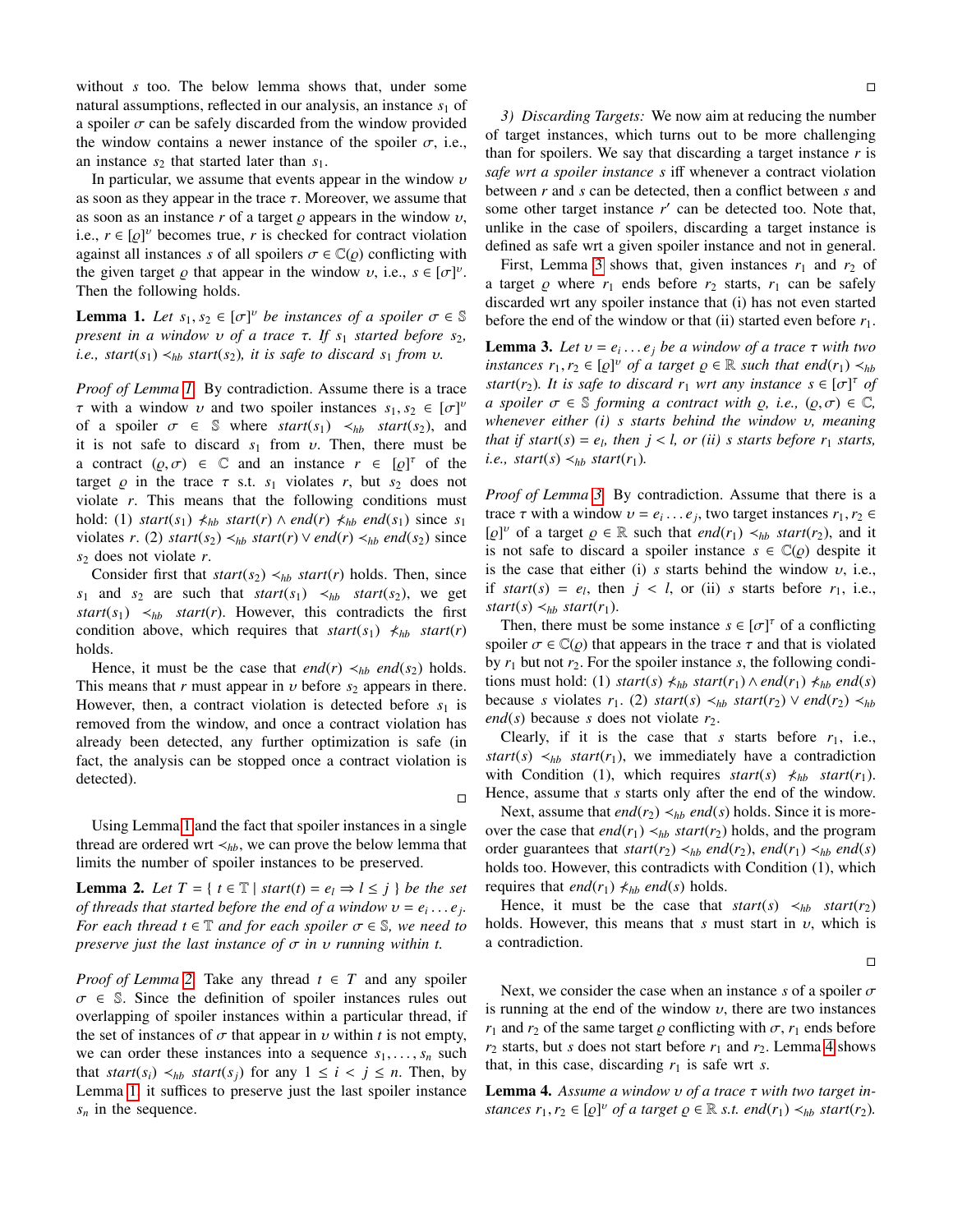without *s* too. The below lemma shows that, under some natural assumptions, reflected in our analysis, an instance  $s<sub>1</sub>$  of a spoiler  $\sigma$  can be safely discarded from the window provided the window contains a newer instance of the spoiler  $\sigma$ , i.e., an instance *s*<sup>2</sup> that started later than *s*1.

In particular, we assume that events appear in the window  $\nu$ as soon as they appear in the trace  $\tau$ . Moreover, we assume that as soon as an instance  $r$  of a target  $\rho$  appears in the window  $v$ , i.e.,  $r \in [Q]^{\nu}$  becomes true, r is checked for contract violation against all instances *s* of all spoilers  $\sigma \in \mathbb{C}(\rho)$  conflicting with the given target  $\varrho$  that appear in the window  $v$ , i.e.,  $s \in [\sigma]^{\nu}$ . Then the following holds.

<span id="page-9-0"></span>**Lemma 1.** Let  $s_1, s_2 \in [\sigma]^v$  be instances of a spoiler  $\sigma \in \mathbb{S}$ *present in a window* υ *of a trace* τ*. If s*<sup>1</sup> *started before s*2*, i.e., start*( $s_1$ )  $\lt_{hb}$  *start*( $s_2$ )*, it is safe to discard s<sub>1</sub> from v.* 

*Proof of Lemma [1.](#page-9-0)* By contradiction. Assume there is a trace  $\tau$  with a window *v* and two spoiler instances  $s_1, s_2 \in [\sigma]^{\nu}$ of a spoiler  $\sigma \in \mathbb{S}$  where  $start(s_1) \prec_{hb} start(s_2)$ , and it is not safe to discard  $s_1$  from  $v$ . Then, there must be a contract  $(\varrho, \sigma) \in \mathbb{C}$  and an instance  $r \in [\varrho]^{\tau}$  of the target  $\rho$  in the trace  $\tau$  s.t.  $s_1$  violates  $r$ , but  $s_2$  does not violate  $r$ . This means that the following conditions must hold: (1) *start*( $s_1$ ) *★hb start*( $r$ )  $\land$  *end*( $r$ )  $\star$ *<sub>hb</sub> end*( $s_1$ ) since  $s_1$ violates *r*. (2) *start*(*s*<sub>2</sub>)  $\lt_{hb}$  *start*(*r*)  $\lor$  *end*(*r*)  $\lt_{hb}$  *end*(*s*<sub>2</sub>) since *s*<sup>2</sup> does not violate *r*.

Consider first that  $start(s_2) \prec_{hb} start(r)$  holds. Then, since *s*<sub>1</sub> and *s*<sub>2</sub> are such that *start*(*s*<sub>1</sub>)  $\lt_{hb}$  *start*(*s*<sub>2</sub>), we get *start*( $s_1$ )  $\lt_{hb}$  *start*(*r*). However, this contradicts the first condition above, which requires that  $start(s_1) \nless h<sub>bb</sub> start(r)$ holds.

Hence, it must be the case that  $end(r) \prec_{hb} end(s_2)$  holds. This means that  $r$  must appear in  $v$  before  $s_2$  appears in there. However, then, a contract violation is detected before  $s_1$  is removed from the window, and once a contract violation has already been detected, any further optimization is safe (in fact, the analysis can be stopped once a contract violation is detected).

 $\Box$ 

Using Lemma [1](#page-9-0) and the fact that spoiler instances in a single thread are ordered wrt  $\lt_{hb}$ , we can prove the below lemma that limits the number of spoiler instances to be preserved.

<span id="page-9-1"></span>**Lemma 2.** Let  $T = \{ t \in \mathbb{T} \mid start(t) = e_l \Rightarrow l \leq j \}$  be the set *of threads that started before the end of a window*  $v = e_i \dots e_j$ . *For each thread*  $t \in \mathbb{T}$  *and for each spoiler*  $\sigma \in \mathbb{S}$ *, we need to preserve just the last instance of*  $\sigma$  *in*  $\nu$  *running within t.* 

*Proof of Lemma* [2.](#page-9-1) Take any thread  $t \in T$  and any spoiler  $\sigma \in \mathbb{S}$ . Since the definition of spoiler instances rules out overlapping of spoiler instances within a particular thread, if the set of instances of  $\sigma$  that appear in  $\nu$  within  $t$  is not empty, we can order these instances into a sequence  $s_1, \ldots, s_n$  such that *start*( $s_i$ )  $\lt_{hb}$  *start*( $s_j$ ) for any  $1 \le i \lt j \le n$ . Then, by Lemma [1,](#page-9-0) it suffices to preserve just the last spoiler instance *s<sup>n</sup>* in the sequence.

*3) Discarding Targets:* We now aim at reducing the number of target instances, which turns out to be more challenging than for spoilers. We say that discarding a target instance  $r$  is *safe wrt a spoiler instance s* iff whenever a contract violation between *r* and *s* can be detected, then a conflict between *s* and some other target instance r' can be detected too. Note that, unlike in the case of spoilers, discarding a target instance is defined as safe wrt a given spoiler instance and not in general.

First, Lemma [3](#page-9-2) shows that, given instances  $r_1$  and  $r_2$  of a target  $\rho$  where  $r_1$  ends before  $r_2$  starts,  $r_1$  can be safely discarded wrt any spoiler instance that (i) has not even started before the end of the window or that (ii) started even before  $r_1$ .

<span id="page-9-2"></span>**Lemma 3.** Let  $v = e_i \dots e_j$  be a window of a trace  $\tau$  with two *instances*  $r_1, r_2 \in [\varrho]^v$  *of a target*  $\varrho \in \mathbb{R}$  *such that end*( $r_1$ )  $\prec_{hb}$ *start*(*r*<sub>2</sub>)*. It is safe to discard r*<sub>1</sub> *wrt any instance s*  $\in [\sigma]^{\tau}$  *of a spoiler*  $\sigma \in \mathcal{S}$  *forming a contract with*  $\varrho$ *, i.e.,*  $(\varrho, \sigma) \in \mathbb{C}$ *, whenever either (i) s starts behind the window* υ*, meaning that if start*(*s*) =  $e_l$ , then  $j < l$ , or (*ii*) *s starts before*  $r_1$  *starts*, *i.e., start*(*s*)  $\lt_{hb}$  *start*(*r*<sub>1</sub>)*.* 

*Proof of Lemma [3.](#page-9-2)* By contradiction. Assume that there is a trace  $\tau$  with a window  $v = e_i \dots e_j$ , two target instances  $r_1, r_2 \in$  $[Q]^{\nu}$  of a target  $\varrho \in \mathbb{R}$  such that *end*( $r_1$ )  $\prec_{hb} start(r_2)$ , and it is not safe to discard a spoiler instance  $s \in \mathbb{C}(\rho)$  despite it is the case that either (i) *s* starts behind the window  $v$ , i.e., if  $start(s) = e_l$ , then  $j < l$ , or (ii) *s* starts before  $r_1$ , i.e., *start*(*s*)  $\lt_{hb}$  *start*(*r*<sub>1</sub>).

Then, there must be some instance  $s \in [\sigma]^{\tau}$  of a conflicting spoiler  $\sigma \in \mathbb{C}(\rho)$  that appears in the trace  $\tau$  and that is violated by  $r_1$  but not  $r_2$ . For the spoiler instance  $s$ , the following conditions must hold: (1) *start*(*s*)  $\nless$ *hb start*(*r*<sub>1</sub>) ∧ *end*(*r*<sub>1</sub>)  $\nless$ *hb end*(*s*) because *s* violates  $r_1$ . (2) *start*(*s*)  $\lt_{hb}$  *start*( $r_2$ )  $\lt$  *end*( $r_2$ )  $\lt_{hb}$ *end*(*s*) because *s* does not violate  $r_2$ .

Clearly, if it is the case that *s* starts before  $r_1$ , i.e., *start*(*s*)  $\lt_{hb}$  *start*(*r*<sub>1</sub>), we immediately have a contradiction with Condition (1), which requires  $start(s) \nless k_{hb} start(r_1)$ . Hence, assume that *s* starts only after the end of the window.

Next, assume that  $end(r_2) \prec_{hb} end(s)$  holds. Since it is moreover the case that *end*( $r_1$ )  $\lt_{hb}$  *start*( $r_2$ ) holds, and the program order guarantees that  $start(r_2) \prec_{hb} end(r_2)$ ,  $end(r_1) \prec_{hb} end(s)$ holds too. However, this contradicts with Condition (1), which requires that *end*( $r_1$ )  $\nless$ <sub>*hb*</sub> *end*(*s*) holds.

Hence, it must be the case that  $start(s) \prec_{hb} start(r_2)$ holds. However, this means that  $s$  must start in  $v$ , which is a contradiction.

 $\Box$ 

Next, we consider the case when an instance *s* of a spoiler  $\sigma$ is running at the end of the window  $v$ , there are two instances  $r_1$  and  $r_2$  of the same target  $\varrho$  conflicting with  $\sigma$ ,  $r_1$  ends before  $r_2$  starts, but *s* does not start before  $r_1$  and  $r_2$ . Lemma [4](#page-9-3) shows that, in this case, discarding  $r_1$  is safe wrt *s*.

<span id="page-9-3"></span>Lemma 4. *Assume a window* υ *of a trace* τ *with two target instances*  $r_1, r_2 \in [\varrho]^{\nu}$  *of a target*  $\varrho \in \mathbb{R}$  *s.t. end*( $r_1$ )  $\prec_{hb} start(r_2)$ *.*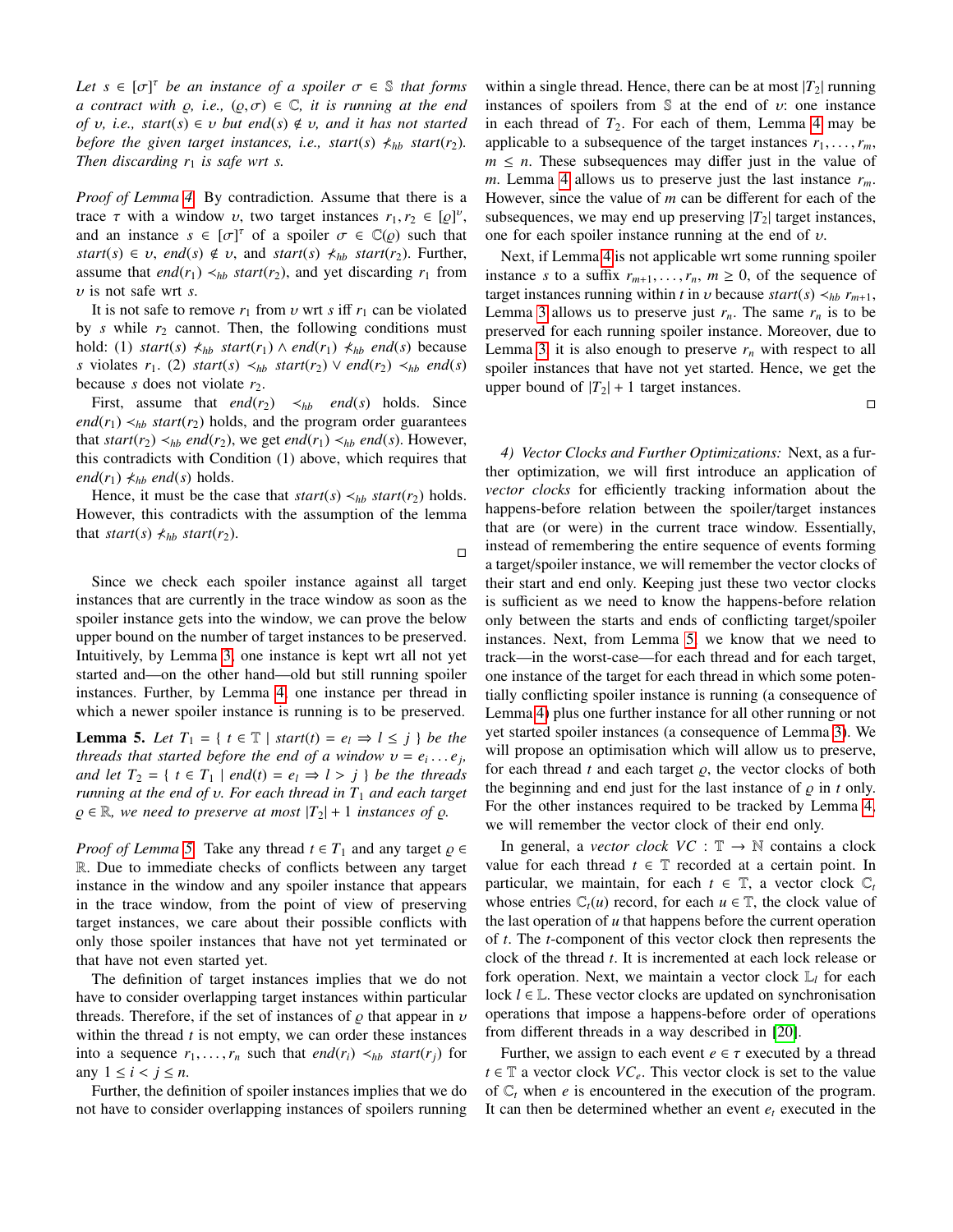*Let*  $s \in [\sigma]^{\tau}$  *be an instance of a spoiler*  $\sigma \in \mathbb{S}$  *that forms a contract with*  $\rho$ , *i.e.*,  $(\rho, \sigma) \in \mathbb{C}$ , *it is running at the end of*  $v$ , *i.e.*, *start*( $s$ )  $\in v$  *but end*( $s$ )  $\notin v$ , *and it has not started before the given target instances, i.e., start(s)*  $\star_{hb}$  *start(r<sub>2</sub>)*. *Then discarding*  $r_1$  *is safe wrt s.* 

*Proof of Lemma [4.](#page-9-3)* By contradiction. Assume that there is a trace  $\tau$  with a window v, two target instances  $r_1, r_2 \in [\varrho]^{\nu}$ , and an instance  $s \in [\sigma]^{\tau}$  of a spoiler  $\sigma \in \mathbb{C}(\varrho)$  such that *start*(*s*)  $\in$  *v*, *end*(*s*)  $\notin$  *v*, and *start*(*s*)  $\not\prec$  *hb start*(*r*<sub>2</sub>). Further, assume that *end*( $r_1$ )  $\lt_{hb}$  *start*( $r_2$ ), and yet discarding  $r_1$  from υ is not safe wrt *s*.

It is not safe to remove  $r_1$  from  $\nu$  wrt  $s$  iff  $r_1$  can be violated by  $s$  while  $r_2$  cannot. Then, the following conditions must hold: (1) *start*(*s*)  $\nless$ *hb start*(*r*<sub>1</sub>) ∧ *end*(*r*<sub>1</sub>)  $\nless$ *hb end*(*s*) because *s* violates *r*<sub>1</sub>. (2) *start*(*s*) ≺*<sub><i>hb</sub> start*(*r*<sub>2</sub>) ∨ *end*(*r*<sub>2</sub>) ≺*<sub><i>hb</sub> end*(*s*)</sub></sub> because *s* does not violate *r*2.

First, assume that  $end(r_2) \prec_{hb} end(s)$  holds. Since *end*( $r_1$ )  $\lt_{hh}$  *start*( $r_2$ ) holds, and the program order guarantees that *start*( $r_2$ )  $\lt_{hb}$  *end*( $r_2$ ), we get *end*( $r_1$ )  $\lt_{hb}$  *end*( $s$ ). However, this contradicts with Condition (1) above, which requires that *end*( $r_1$ )  $\nless$ *hb end*( $s$ ) holds.

Hence, it must be the case that  $start(s) \prec_{hb} start(r_2)$  holds. However, this contradicts with the assumption of the lemma that *start*(*s*)  $\nless$ *hb start*(*r*<sub>2</sub>).

 $\Box$ 

Since we check each spoiler instance against all target instances that are currently in the trace window as soon as the spoiler instance gets into the window, we can prove the below upper bound on the number of target instances to be preserved. Intuitively, by Lemma [3,](#page-9-2) one instance is kept wrt all not yet started and—on the other hand—old but still running spoiler instances. Further, by Lemma [4,](#page-9-3) one instance per thread in which a newer spoiler instance is running is to be preserved.

<span id="page-10-0"></span>**Lemma 5.** Let  $T_1 = \{ t \in \mathbb{T} \mid start(t) = e_l \Rightarrow l \leq j \}$  be the *threads that started before the end of a window*  $v = e_i \dots e_j$ *, and let*  $T_2 = \{ t \in T_1 \mid end(t) = e_l \Rightarrow l > j \}$  *be the threads running at the end of* υ*. For each thread in T*<sup>1</sup> *and each target*  $\rho \in \mathbb{R}$ *, we need to preserve at most*  $|T_2| + 1$  *instances of*  $\rho$ *.* 

*Proof of Lemma* [5.](#page-10-0) Take any thread  $t \in T_1$  and any target  $\varrho \in$ R. Due to immediate checks of conflicts between any target instance in the window and any spoiler instance that appears in the trace window, from the point of view of preserving target instances, we care about their possible conflicts with only those spoiler instances that have not yet terminated or that have not even started yet.

The definition of target instances implies that we do not have to consider overlapping target instances within particular threads. Therefore, if the set of instances of  $\rho$  that appear in  $\nu$ within the thread *t* is not empty, we can order these instances into a sequence  $r_1, \ldots, r_n$  such that *end*( $r_i$ )  $\prec_{hb} start(r_i)$  for any  $1 \leq i < j \leq n$ .

Further, the definition of spoiler instances implies that we do not have to consider overlapping instances of spoilers running

within a single thread. Hence, there can be at most  $|T_2|$  running instances of spoilers from  $\mathbb S$  at the end of  $v$ : one instance in each thread of  $T_2$ . For each of them, Lemma [4](#page-9-3) may be applicable to a subsequence of the target instances  $r_1, \ldots, r_m$ ,  $m \leq n$ . These subsequences may differ just in the value of *m*. Lemma [4](#page-9-3) allows us to preserve just the last instance  $r_m$ . However, since the value of *m* can be different for each of the subsequences, we may end up preserving  $|T_2|$  target instances, one for each spoiler instance running at the end of  $\nu$ .

Next, if Lemma [4](#page-9-3) is not applicable wrt some running spoiler instance *s* to a suffix  $r_{m+1}, \ldots, r_n, m \geq 0$ , of the sequence of target instances running within *t* in *v* because *start*(*s*)  $\lt_{hh} r_{m+1}$ , Lemma [3](#page-9-2) allows us to preserve just  $r_n$ . The same  $r_n$  is to be preserved for each running spoiler instance. Moreover, due to Lemma [3,](#page-9-2) it is also enough to preserve  $r_n$  with respect to all spoiler instances that have not yet started. Hence, we get the upper bound of  $|T_2| + 1$  target instances.

*4) Vector Clocks and Further Optimizations:* Next, as a further optimization, we will first introduce an application of *vector clocks* for efficiently tracking information about the happens-before relation between the spoiler/target instances that are (or were) in the current trace window. Essentially, instead of remembering the entire sequence of events forming a target/spoiler instance, we will remember the vector clocks of their start and end only. Keeping just these two vector clocks is sufficient as we need to know the happens-before relation only between the starts and ends of conflicting target/spoiler instances. Next, from Lemma [5,](#page-10-0) we know that we need to track—in the worst-case—for each thread and for each target, one instance of the target for each thread in which some potentially conflicting spoiler instance is running (a consequence of Lemma [4\)](#page-9-3) plus one further instance for all other running or not yet started spoiler instances (a consequence of Lemma [3\)](#page-9-2). We will propose an optimisation which will allow us to preserve, for each thread  $t$  and each target  $\varrho$ , the vector clocks of both the beginning and end just for the last instance of  $\rho$  in  $t$  only. For the other instances required to be tracked by Lemma [4,](#page-9-3) we will remember the vector clock of their end only.

In general, a *vector clock*  $VC : \mathbb{T} \to \mathbb{N}$  contains a clock value for each thread  $t \in \mathbb{T}$  recorded at a certain point. In particular, we maintain, for each  $t \in \mathbb{T}$ , a vector clock  $\mathbb{C}_t$ whose entries  $\mathbb{C}_t(u)$  record, for each  $u \in \mathbb{T}$ , the clock value of the last operation of *u* that happens before the current operation of *t*. The *t*-component of this vector clock then represents the clock of the thread *t*. It is incremented at each lock release or fork operation. Next, we maintain a vector clock  $L_l$  for each lock  $l \in \mathbb{L}$ . These vector clocks are updated on synchronisation operations that impose a happens-before order of operations from different threads in a way described in [\[20\]](#page-14-9).

Further, we assign to each event  $e \in \tau$  executed by a thread  $t \in \mathbb{T}$  a vector clock *VC<sub>e</sub>*. This vector clock is set to the value of  $\mathbb{C}_t$  when *e* is encountered in the execution of the program. It can then be determined whether an event *e<sup>t</sup>* executed in the

 $\Box$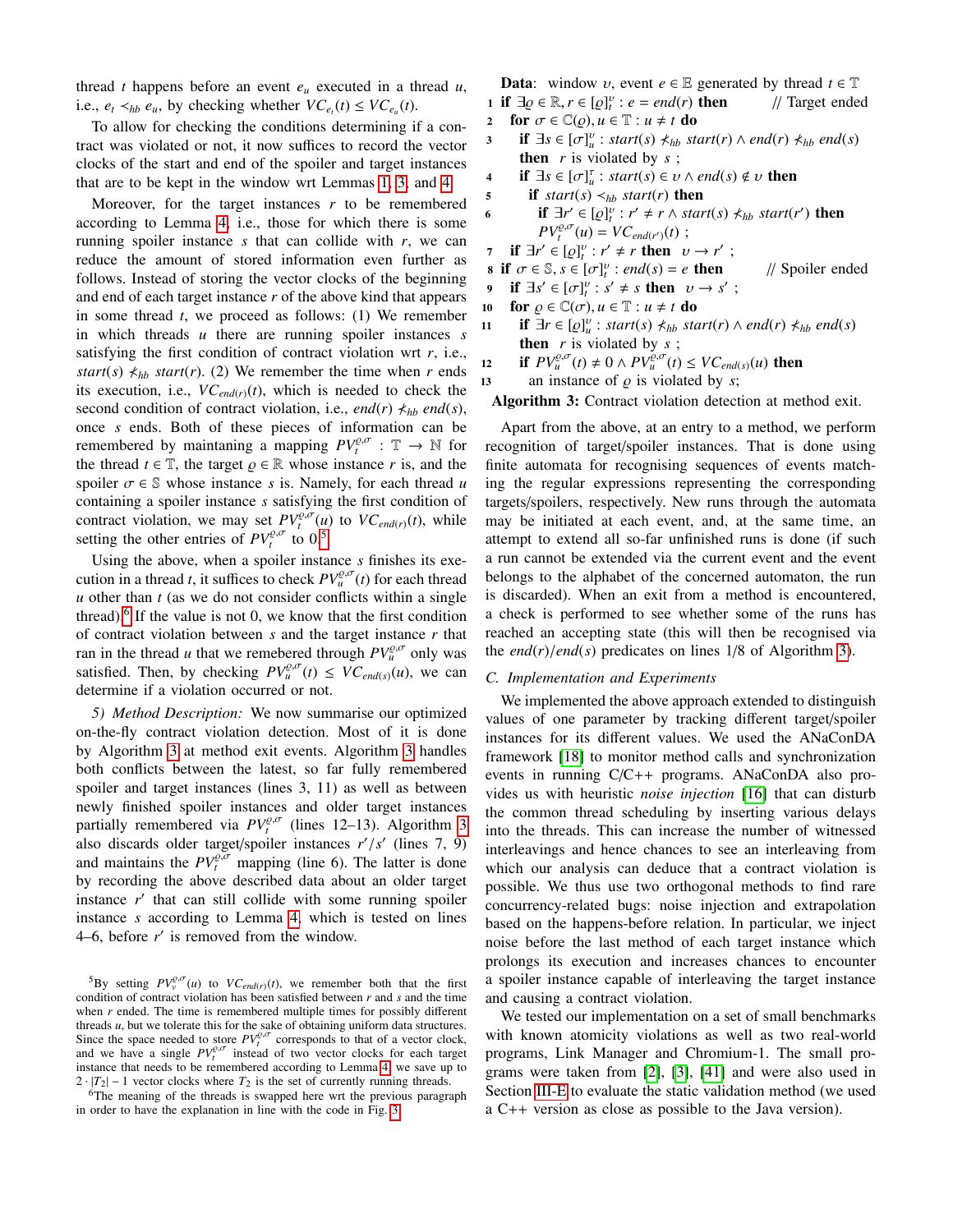thread *t* happens before an event *e<sup>u</sup>* executed in a thread *u*, i.e.,  $e_t \lt_{hb} e_u$ , by checking whether  $VC_{e_t}(t) \le VC_{e_u}(t)$ .

To allow for checking the conditions determining if a contract was violated or not, it now suffices to record the vector clocks of the start and end of the spoiler and target instances that are to be kept in the window wrt Lemmas [1,](#page-9-0) [3,](#page-9-2) and [4.](#page-9-3)

Moreover, for the target instances  $r$  to be remembered according to Lemma [4,](#page-9-3) i.e., those for which there is some running spoiler instance *s* that can collide with *r*, we can reduce the amount of stored information even further as follows. Instead of storing the vector clocks of the beginning and end of each target instance *r* of the above kind that appears in some thread *t*, we proceed as follows: (1) We remember in which threads *u* there are running spoiler instances *s* satisfying the first condition of contract violation wrt  $r$ , i.e., *start*(*s*)  $\nless$ *hb start*(*r*). (2) We remember the time when *r* ends its execution, i.e.,  $VC_{end(r)}(t)$ , which is needed to check the second condition of contract violation, i.e., *end*(*r*)  $\nless$ <sub>*hb*</sub> *end*(*s*), once *s* ends. Both of these pieces of information can be remembered by maintaning a mapping  $PV_t^{\varrho,\sigma}$ :  $\mathbb{T} \to \mathbb{N}$  for the thread  $t \in \mathbb{T}$ , the target  $\rho \in \mathbb{R}$  whose instance *r* is, and the spoiler  $\sigma \in \mathbb{S}$  whose instance *s* is. Namely, for each thread *u* containing a spoiler instance *s* satisfying the first condition of contract violation, we may set  $PV_t^{\varrho,\sigma}(u)$  to  $VC_{end(r)}(t)$ , while setting the other entries of  $PV_t^{\varrho,\sigma}$  to 0.<sup>[5](#page-11-0)</sup>

Using the above, when a spoiler instance *s* finishes its execution in a thread *t*, it suffices to check  $PV_u^{\varrho,\sigma}(t)$  for each thread  *other than*  $*t*$  *(as we do not consider conflicts within a single* thread). $6$  If the value is not 0, we know that the first condition of contract violation between *s* and the target instance *r* that ran in the thread *u* that we remebered through  $PV_u^{\varrho,\sigma}$  only was satisfied. Then, by checking  $PV_u^{\rho,\sigma}(t) \le VC_{end(s)}(u)$ , we can determine if a violation occurred or not.

*5) Method Description:* We now summarise our optimized on-the-fly contract violation detection. Most of it is done by Algorithm [3](#page-11-2) at method exit events. Algorithm [3](#page-11-2) handles both conflicts between the latest, so far fully remembered spoiler and target instances (lines 3, 11) as well as between newly finished spoiler instances and older target instances partially remembered via  $PV_t^{\rho,\sigma}$  (lines 12–13). Algorithm [3](#page-11-2) also discards older target/spoiler instances  $r'/s'$  (lines 7, 9) and maintains the  $PV_t^{\varrho,\sigma}$  mapping (line 6). The latter is done by recording the above described data about an older target instance *r* ′ that can still collide with some running spoiler instance *s* according to Lemma [4,](#page-9-3) which is tested on lines 4–6, before *r* ′ is removed from the window.

<span id="page-11-1"></span><sup>6</sup>The meaning of the threads is swapped here wrt the previous paragraph in order to have the explanation in line with the code in Fig. [3.](#page-11-2)

**Data**: window *v*, event  $e \in \mathbb{E}$  generated by thread  $t \in \mathbb{T}$ **1** if  $\exists \varrho \in \mathbb{R}, r \in [\varrho]_t^v : e = end(r)$  then // Target ended

- 2 for  $\sigma \in \mathbb{C}(\rho), u \in \mathbb{T} : u \neq t$  do
- *s* if  $\exists s \in [\sigma]_u^v$ : *start*(*s*)  $\nless_h b \text{ start}(r) \land end(r) \nless_h b \text{ end}(s)$ then *r* is violated by *s* ;
- **if**  $\exists s \in [\sigma]_u^\tau : start(s) \in v \land end(s) \notin v$  then
- 5 if  $start(s) \prec_{hb} start(r)$  then
- 6 if  $\exists r' \in [\mathcal{Q}]_t^v : r' \neq r \land start(s) \nless \mathcal{A}_{hb} start(r')$  then  $PV_t^{\varrho,\sigma}(u) = VC_{end(r')}(t)$ ;
- *r* if  $\exists r' \in [\varrho]_t^v : r' \neq r$  then  $v \to r'$ ;
- **8** if  $\sigma \in \mathbb{S}, s \in [\sigma]^{\nu}$ ; *end*(*s*) = *e* then // Spoiler ended
- 9 if  $\exists s' \in [\sigma]_t^v : s' \neq s$  then  $v \to s'$ ;
- 10 for  $\rho \in \mathbb{C}(\sigma)$ ,  $u \in \mathbb{T} : u \neq t$  do
- 11 if  $\exists r \in [\varrho]_u^v : start(s) \nless x_h^h = \forall h \in (r) \land end(r) \nless x_h^h = \forall h \in (r) \land end(s)$ **then**  $r$  is violated by  $s$ ;
- 12 if  $PV_u^{\varrho,\sigma}(t) \neq 0 \wedge PV_u^{\varrho,\sigma}(t) \leq VC_{end(s)}(u)$  then
- 13 an instance of  $\rho$  is violated by *s*;

<span id="page-11-2"></span>Algorithm 3: Contract violation detection at method exit.

Apart from the above, at an entry to a method, we perform recognition of target/spoiler instances. That is done using finite automata for recognising sequences of events matching the regular expressions representing the corresponding targets/spoilers, respectively. New runs through the automata may be initiated at each event, and, at the same time, an attempt to extend all so-far unfinished runs is done (if such a run cannot be extended via the current event and the event belongs to the alphabet of the concerned automaton, the run is discarded). When an exit from a method is encountered, a check is performed to see whether some of the runs has reached an accepting state (this will then be recognised via the  $end(r)/end(s)$  predicates on lines  $1/8$  of Algorithm [3\)](#page-11-2).

# *C. Implementation and Experiments*

We implemented the above approach extended to distinguish values of one parameter by tracking different target/spoiler instances for its different values. We used the ANaConDA framework [\[18\]](#page-14-10) to monitor method calls and synchronization events in running C/C++ programs. ANaConDA also provides us with heuristic *noise injection* [\[16\]](#page-13-9) that can disturb the common thread scheduling by inserting various delays into the threads. This can increase the number of witnessed interleavings and hence chances to see an interleaving from which our analysis can deduce that a contract violation is possible. We thus use two orthogonal methods to find rare concurrency-related bugs: noise injection and extrapolation based on the happens-before relation. In particular, we inject noise before the last method of each target instance which prolongs its execution and increases chances to encounter a spoiler instance capable of interleaving the target instance and causing a contract violation.

We tested our implementation on a set of small benchmarks with known atomicity violations as well as two real-world programs, Link Manager and Chromium-1. The small programs were taken from [\[2\]](#page-13-5), [\[3\]](#page-13-6), [\[41\]](#page-14-7) and were also used in Section [III-E](#page-6-5) to evaluate the static validation method (we used a C++ version as close as possible to the Java version).

<span id="page-11-0"></span><sup>&</sup>lt;sup>5</sup>By setting  $PV_v^{\varrho,\sigma}(u)$  to  $VC_{end(r)}(t)$ , we remember both that the first condition of contract violation has been satisfied between *r* and *s* and the time when  $r$  ended. The time is remembered multiple times for possibly different threads *u*, but we tolerate this for the sake of obtaining uniform data structures. Since the space needed to store  $PV_t^{\rho, \sigma}$  corresponds to that of a vector clock, and we have a single  $PV_t^{\varrho,\sigma}$  instead of two vector clocks for each target instance that needs to be remembered according to Lemma [4,](#page-9-3) we save up to  $2 \cdot |T_2| - 1$  vector clocks where  $T_2$  is the set of currently running threads.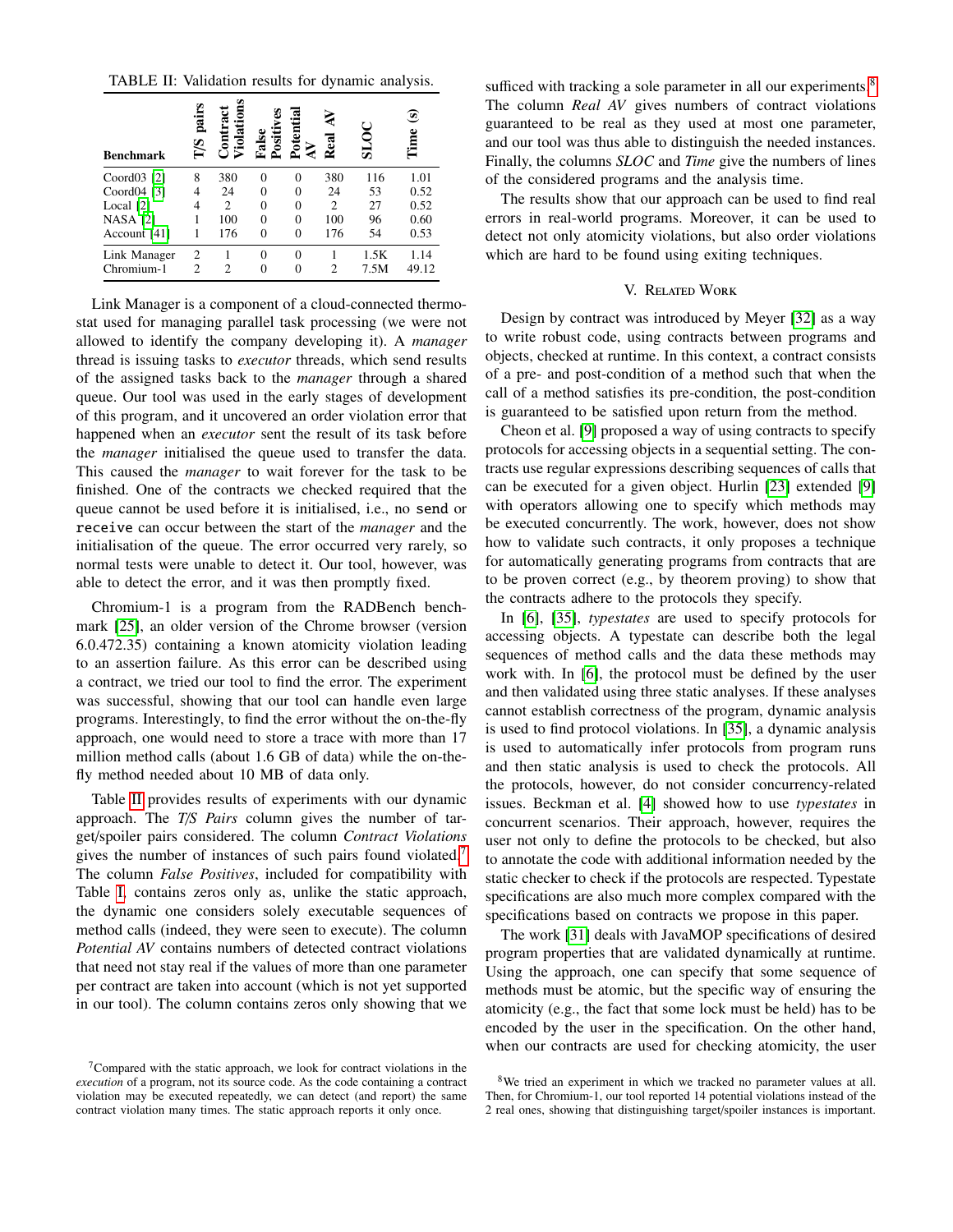<span id="page-12-1"></span>TABLE II: Validation results for dynamic analysis.

| <b>Benchmark</b>       | pair<br>rg<br>T | Viol | ositi<br>Fals | tia<br>oten | ₹<br>Real | ದ    | ত<br>Time |
|------------------------|-----------------|------|---------------|-------------|-----------|------|-----------|
| Coord03 <sup>[2]</sup> | 8               | 380  | 0             | $\Omega$    | 380       | 116  | 1.01      |
| Coord04 [3]            |                 | 24   | 0             | $\Omega$    | 24        | 53   | 0.52      |
| Local [2]              | 4               | 2    | 0             | $\Omega$    | 2         | 27   | 0.52      |
| $NASA$ [2]             |                 | 100  | 0             | $\Omega$    | 100       | 96   | 0.60      |
| Account [41]           |                 | 176  | 0             | $\Omega$    | 176       | 54   | 0.53      |
| Link Manager           | 2               |      | 0             | 0           |           | 1.5K | 1.14      |
| Chromium-1             | っ               | 2    | 0             | 0           | 2         | 7.5M | 49.12     |

Link Manager is a component of a cloud-connected thermostat used for managing parallel task processing (we were not allowed to identify the company developing it). A *manager* thread is issuing tasks to *executor* threads, which send results of the assigned tasks back to the *manager* through a shared queue. Our tool was used in the early stages of development of this program, and it uncovered an order violation error that happened when an *executor* sent the result of its task before the *manager* initialised the queue used to transfer the data. This caused the *manager* to wait forever for the task to be finished. One of the contracts we checked required that the queue cannot be used before it is initialised, i.e., no send or receive can occur between the start of the *manager* and the initialisation of the queue. The error occurred very rarely, so normal tests were unable to detect it. Our tool, however, was able to detect the error, and it was then promptly fixed.

Chromium-1 is a program from the RADBench benchmark [\[25\]](#page-14-11), an older version of the Chrome browser (version 6.0.472.35) containing a known atomicity violation leading to an assertion failure. As this error can be described using a contract, we tried our tool to find the error. The experiment was successful, showing that our tool can handle even large programs. Interestingly, to find the error without the on-the-fly approach, one would need to store a trace with more than 17 million method calls (about 1.6 GB of data) while the on-thefly method needed about 10 MB of data only.

Table [II](#page-12-1) provides results of experiments with our dynamic approach. The *T*/*S Pairs* column gives the number of target/spoiler pairs considered. The column *Contract Violations* gives the number of instances of such pairs found violated.<sup>[7](#page-12-2)</sup> The column *False Positives*, included for compatibility with Table [I,](#page-7-1) contains zeros only as, unlike the static approach, the dynamic one considers solely executable sequences of method calls (indeed, they were seen to execute). The column *Potential AV* contains numbers of detected contract violations that need not stay real if the values of more than one parameter per contract are taken into account (which is not yet supported in our tool). The column contains zeros only showing that we

<span id="page-12-2"></span> $7$ Compared with the static approach, we look for contract violations in the *execution* of a program, not its source code. As the code containing a contract violation may be executed repeatedly, we can detect (and report) the same contract violation many times. The static approach reports it only once.

sufficed with tracking a sole parameter in all our experiments.<sup>[8](#page-12-3)</sup> The column *Real AV* gives numbers of contract violations guaranteed to be real as they used at most one parameter, and our tool was thus able to distinguish the needed instances. Finally, the columns *SLOC* and *Time* give the numbers of lines of the considered programs and the analysis time.

The results show that our approach can be used to find real errors in real-world programs. Moreover, it can be used to detect not only atomicity violations, but also order violations which are hard to be found using exiting techniques.

#### V. Related Work

<span id="page-12-0"></span>Design by contract was introduced by Meyer [\[32\]](#page-14-12) as a way to write robust code, using contracts between programs and objects, checked at runtime. In this context, a contract consists of a pre- and post-condition of a method such that when the call of a method satisfies its pre-condition, the post-condition is guaranteed to be satisfied upon return from the method.

Cheon et al. [\[9\]](#page-13-10) proposed a way of using contracts to specify protocols for accessing objects in a sequential setting. The contracts use regular expressions describing sequences of calls that can be executed for a given object. Hurlin [\[23\]](#page-14-13) extended [\[9\]](#page-13-10) with operators allowing one to specify which methods may be executed concurrently. The work, however, does not show how to validate such contracts, it only proposes a technique for automatically generating programs from contracts that are to be proven correct (e.g., by theorem proving) to show that the contracts adhere to the protocols they specify.

In [\[6\]](#page-13-11), [\[35\]](#page-14-14), *typestates* are used to specify protocols for accessing objects. A typestate can describe both the legal sequences of method calls and the data these methods may work with. In [\[6\]](#page-13-11), the protocol must be defined by the user and then validated using three static analyses. If these analyses cannot establish correctness of the program, dynamic analysis is used to find protocol violations. In [\[35\]](#page-14-14), a dynamic analysis is used to automatically infer protocols from program runs and then static analysis is used to check the protocols. All the protocols, however, do not consider concurrency-related issues. Beckman et al. [\[4\]](#page-13-7) showed how to use *typestates* in concurrent scenarios. Their approach, however, requires the user not only to define the protocols to be checked, but also to annotate the code with additional information needed by the static checker to check if the protocols are respected. Typestate specifications are also much more complex compared with the specifications based on contracts we propose in this paper.

The work [\[31\]](#page-14-15) deals with JavaMOP specifications of desired program properties that are validated dynamically at runtime. Using the approach, one can specify that some sequence of methods must be atomic, but the specific way of ensuring the atomicity (e.g., the fact that some lock must be held) has to be encoded by the user in the specification. On the other hand, when our contracts are used for checking atomicity, the user

<span id="page-12-3"></span><sup>8</sup>We tried an experiment in which we tracked no parameter values at all. Then, for Chromium-1, our tool reported 14 potential violations instead of the 2 real ones, showing that distinguishing target/spoiler instances is important.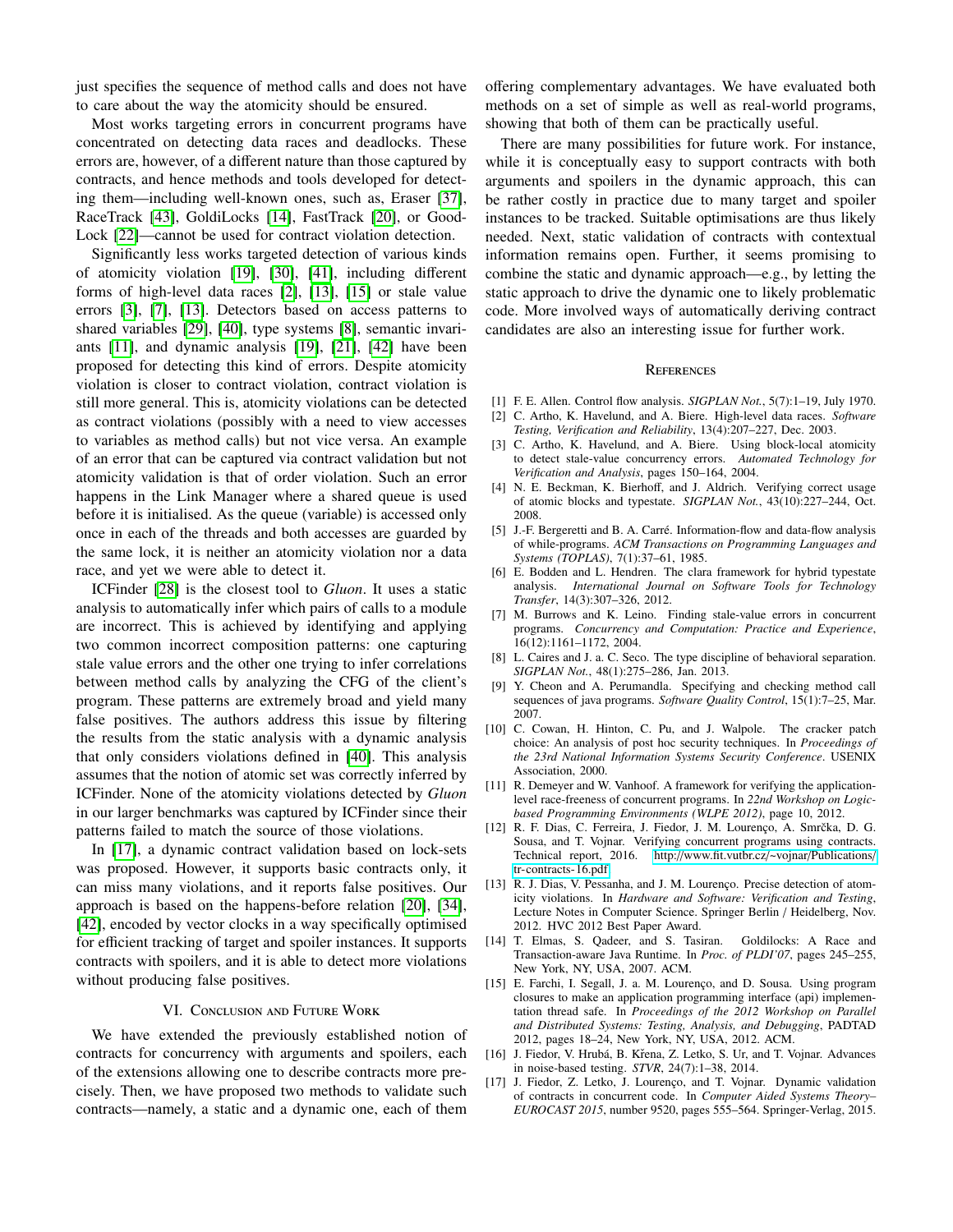just specifies the sequence of method calls and does not have to care about the way the atomicity should be ensured.

Most works targeting errors in concurrent programs have concentrated on detecting data races and deadlocks. These errors are, however, of a different nature than those captured by contracts, and hence methods and tools developed for detecting them—including well-known ones, such as, Eraser [\[37\]](#page-14-16), RaceTrack [\[43\]](#page-14-17), GoldiLocks [\[14\]](#page-13-12), FastTrack [\[20\]](#page-14-9), or Good-Lock [\[22\]](#page-14-18)—cannot be used for contract violation detection.

Significantly less works targeted detection of various kinds of atomicity violation [\[19\]](#page-14-19), [\[30\]](#page-14-20), [\[41\]](#page-14-7), including different forms of high-level data races [\[2\]](#page-13-5), [\[13\]](#page-13-8), [\[15\]](#page-13-13) or stale value errors [\[3\]](#page-13-6), [\[7\]](#page-13-14), [\[13\]](#page-13-8). Detectors based on access patterns to shared variables [\[29\]](#page-14-6), [\[40\]](#page-14-21), type systems [\[8\]](#page-13-15), semantic invariants [\[11\]](#page-13-16), and dynamic analysis [\[19\]](#page-14-19), [\[21\]](#page-14-22), [\[42\]](#page-14-23) have been proposed for detecting this kind of errors. Despite atomicity violation is closer to contract violation, contract violation is still more general. This is, atomicity violations can be detected as contract violations (possibly with a need to view accesses to variables as method calls) but not vice versa. An example of an error that can be captured via contract validation but not atomicity validation is that of order violation. Such an error happens in the Link Manager where a shared queue is used before it is initialised. As the queue (variable) is accessed only once in each of the threads and both accesses are guarded by the same lock, it is neither an atomicity violation nor a data race, and yet we were able to detect it.

ICFinder [\[28\]](#page-14-24) is the closest tool to *Gluon*. It uses a static analysis to automatically infer which pairs of calls to a module are incorrect. This is achieved by identifying and applying two common incorrect composition patterns: one capturing stale value errors and the other one trying to infer correlations between method calls by analyzing the CFG of the client's program. These patterns are extremely broad and yield many false positives. The authors address this issue by filtering the results from the static analysis with a dynamic analysis that only considers violations defined in [\[40\]](#page-14-21). This analysis assumes that the notion of atomic set was correctly inferred by ICFinder. None of the atomicity violations detected by *Gluon* in our larger benchmarks was captured by ICFinder since their patterns failed to match the source of those violations.

In [\[17\]](#page-13-1), a dynamic contract validation based on lock-sets was proposed. However, it supports basic contracts only, it can miss many violations, and it reports false positives. Our approach is based on the happens-before relation [\[20\]](#page-14-9), [\[34\]](#page-14-25), [\[42\]](#page-14-23), encoded by vector clocks in a way specifically optimised for efficient tracking of target and spoiler instances. It supports contracts with spoilers, and it is able to detect more violations without producing false positives.

# VI. Conclusion and Future Work

<span id="page-13-2"></span>We have extended the previously established notion of contracts for concurrency with arguments and spoilers, each of the extensions allowing one to describe contracts more precisely. Then, we have proposed two methods to validate such contracts—namely, a static and a dynamic one, each of them offering complementary advantages. We have evaluated both methods on a set of simple as well as real-world programs, showing that both of them can be practically useful.

There are many possibilities for future work. For instance, while it is conceptually easy to support contracts with both arguments and spoilers in the dynamic approach, this can be rather costly in practice due to many target and spoiler instances to be tracked. Suitable optimisations are thus likely needed. Next, static validation of contracts with contextual information remains open. Further, it seems promising to combine the static and dynamic approach—e.g., by letting the static approach to drive the dynamic one to likely problematic code. More involved ways of automatically deriving contract candidates are also an interesting issue for further work.

#### **REFERENCES**

- <span id="page-13-3"></span>[1] F. E. Allen. Control flow analysis. *SIGPLAN Not.*, 5(7):1–19, July 1970.
- <span id="page-13-5"></span>[2] C. Artho, K. Havelund, and A. Biere. High-level data races. *Software Testing, Verification and Reliability*, 13(4):207–227, Dec. 2003.
- <span id="page-13-6"></span>[3] C. Artho, K. Havelund, and A. Biere. Using block-local atomicity to detect stale-value concurrency errors. *Automated Technology for Verification and Analysis*, pages 150–164, 2004.
- <span id="page-13-7"></span>[4] N. E. Beckman, K. Bierhoff, and J. Aldrich. Verifying correct usage of atomic blocks and typestate. *SIGPLAN Not.*, 43(10):227–244, Oct. 2008.
- [5] J.-F. Bergeretti and B. A. Carré. Information-flow and data-flow analysis of while-programs. *ACM Transactions on Programming Languages and Systems (TOPLAS)*, 7(1):37–61, 1985.
- <span id="page-13-11"></span>[6] E. Bodden and L. Hendren. The clara framework for hybrid typestate analysis. *International Journal on Software Tools for Technology Transfer*, 14(3):307–326, 2012.
- <span id="page-13-14"></span>[7] M. Burrows and K. Leino. Finding stale-value errors in concurrent programs. *Concurrency and Computation: Practice and Experience*, 16(12):1161–1172, 2004.
- <span id="page-13-15"></span>[8] L. Caires and J. a. C. Seco. The type discipline of behavioral separation. *SIGPLAN Not.*, 48(1):275–286, Jan. 2013.
- <span id="page-13-10"></span>[9] Y. Cheon and A. Perumandla. Specifying and checking method call sequences of java programs. *Software Quality Control*, 15(1):7–25, Mar. 2007.
- <span id="page-13-0"></span>[10] C. Cowan, H. Hinton, C. Pu, and J. Walpole. The cracker patch choice: An analysis of post hoc security techniques. In *Proceedings of the 23rd National Information Systems Security Conference*. USENIX Association, 2000.
- <span id="page-13-16"></span>[11] R. Demeyer and W. Vanhoof. A framework for verifying the applicationlevel race-freeness of concurrent programs. In *22nd Workshop on Logicbased Programming Environments (WLPE 2012)*, page 10, 2012.
- <span id="page-13-4"></span>[12] R. F. Dias, C. Ferreira, J. Fiedor, J. M. Lourenço, A. Smrčka, D. G. Sousa, and T. Vojnar. Verifying concurrent programs using contracts. Technical report, 2016. http://[www.fit.vutbr.cz](http://www.fit.vutbr.cz/~vojnar/Publications/tr-contracts-16.pdf)/~vojnar/Publications/ [tr-contracts-16.pdf.](http://www.fit.vutbr.cz/~vojnar/Publications/tr-contracts-16.pdf)
- <span id="page-13-8"></span>[13] R. J. Dias, V. Pessanha, and J. M. Lourenço. Precise detection of atomicity violations. In *Hardware and Software: Verification and Testing*, Lecture Notes in Computer Science. Springer Berlin / Heidelberg, Nov. 2012. HVC 2012 Best Paper Award.
- <span id="page-13-12"></span>[14] T. Elmas, S. Qadeer, and S. Tasiran. Goldilocks: A Race and Transaction-aware Java Runtime. In *Proc. of PLDI'07*, pages 245–255, New York, NY, USA, 2007. ACM.
- <span id="page-13-13"></span>[15] E. Farchi, I. Segall, J. a. M. Lourenço, and D. Sousa. Using program closures to make an application programming interface (api) implementation thread safe. In *Proceedings of the 2012 Workshop on Parallel and Distributed Systems: Testing, Analysis, and Debugging*, PADTAD 2012, pages 18–24, New York, NY, USA, 2012. ACM.
- <span id="page-13-9"></span>[16] J. Fiedor, V. Hrubá, B. Křena, Z. Letko, S. Ur, and T. Vojnar. Advances in noise-based testing. *STVR*, 24(7):1–38, 2014.
- <span id="page-13-1"></span>J. Fiedor, Z. Letko, J. Lourenço, and T. Vojnar. Dynamic validation of contracts in concurrent code. In *Computer Aided Systems Theory– EUROCAST 2015*, number 9520, pages 555–564. Springer-Verlag, 2015.